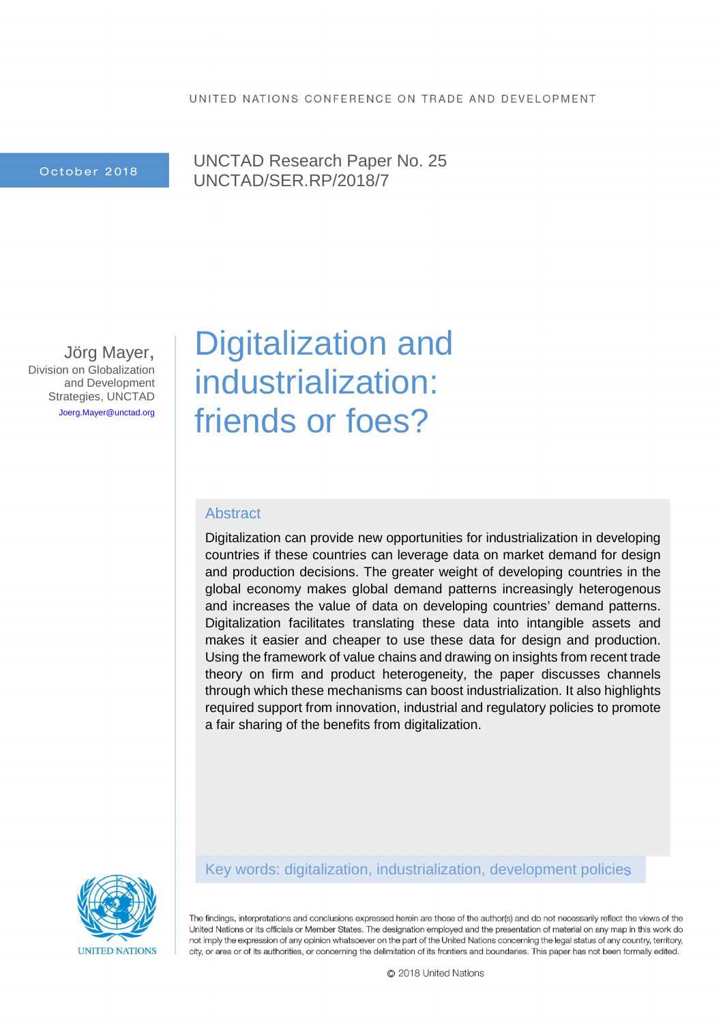October 2018

UNCTAD Research Paper No. 25 UNCTAD/SER.RP/2018/7

Jörg Mayer, Division on Globalization and Development Strategies, UNCTAD Joerg.Mayer@unctad.org

# Digitalization and industrialization: friends or foes?

## Abstract

Digitalization can provide new opportunities for industrialization in developing countries if these countries can leverage data on market demand for design and production decisions. The greater weight of developing countries in the global economy makes global demand patterns increasingly heterogenous and increases the value of data on developing countries' demand patterns. Digitalization facilitates translating these data into intangible assets and makes it easier and cheaper to use these data for design and production. Using the framework of value chains and drawing on insights from recent trade theory on firm and product heterogeneity, the paper discusses channels through which these mechanisms can boost industrialization. It also highlights required support from innovation, industrial and regulatory policies to promote a fair sharing of the benefits from digitalization.



## Key words: digitalization, industrialization, development policies

The findings, interpretations and conclusions expressed herein are those of the author(s) and do not necessarily reflect the views of the United Nations or its officials or Member States. The designation employed and the presentation of material on any map in this work do not imply the expression of any opinion whatsoever on the part of the United Nations concerning the legal status of any country, territory, city, or area or of its authorities, or concerning the delimitation of its frontiers and boundaries. This paper has not been formally edited.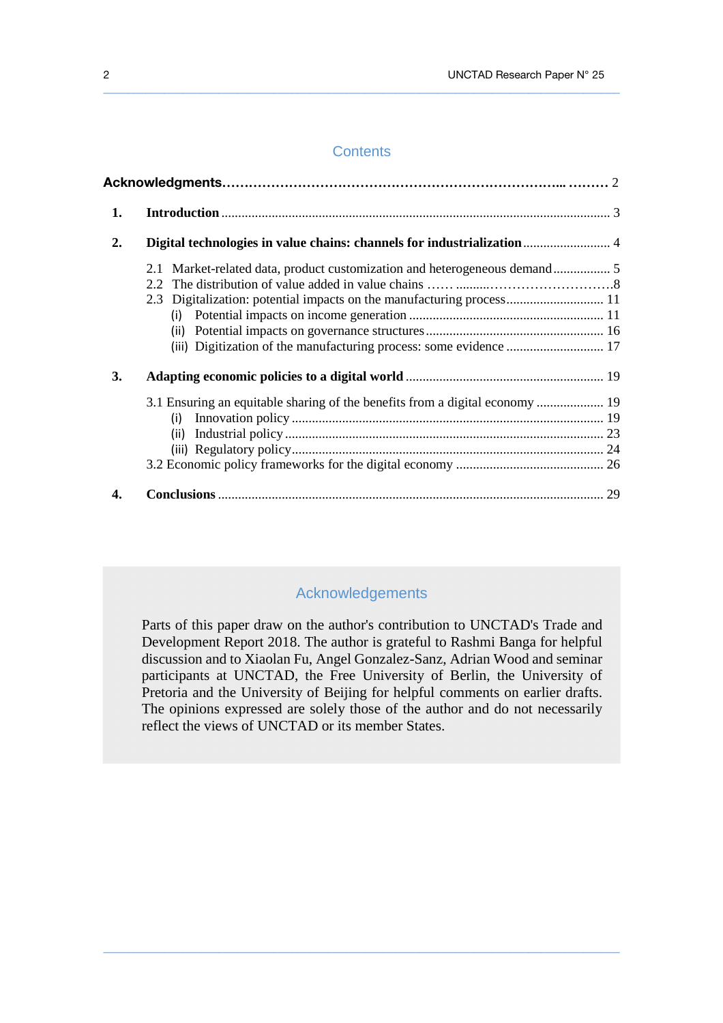## **Contents**

 $\_$  ,  $\_$  ,  $\_$  ,  $\_$  ,  $\_$  ,  $\_$  ,  $\_$  ,  $\_$  ,  $\_$  ,  $\_$  ,  $\_$  ,  $\_$  ,  $\_$  ,  $\_$  ,  $\_$  ,  $\_$  ,  $\_$  ,  $\_$  ,  $\_$  ,  $\_$  ,  $\_$  ,  $\_$  ,  $\_$  ,  $\_$  ,  $\_$  ,  $\_$  ,  $\_$  ,  $\_$  ,  $\_$  ,  $\_$  ,  $\_$  ,  $\_$  ,  $\_$  ,  $\_$  ,  $\_$  ,  $\_$  ,  $\_$  ,

| 1. |                                                                                      |  |
|----|--------------------------------------------------------------------------------------|--|
| 2. | Digital technologies in value chains: channels for industrialization  4              |  |
|    | 2.3 Digitalization: potential impacts on the manufacturing process 11<br>(i)<br>(ii) |  |
| 3. |                                                                                      |  |
|    |                                                                                      |  |
|    | (i)                                                                                  |  |
|    | (ii)                                                                                 |  |
|    |                                                                                      |  |
|    |                                                                                      |  |
| 4. |                                                                                      |  |

## Acknowledgements

 Parts of this paper draw on the author's contribution to UNCTAD's Trade and Development Report 2018. The author is grateful to Rashmi Banga for helpful discussion and to Xiaolan Fu, Angel Gonzalez-Sanz, Adrian Wood and seminar participants at UNCTAD, the Free University of Berlin, the University of Pretoria and the University of Beijing for helpful comments on earlier drafts. The opinions expressed are solely those of the author and do not necessarily reflect the views of UNCTAD or its member States.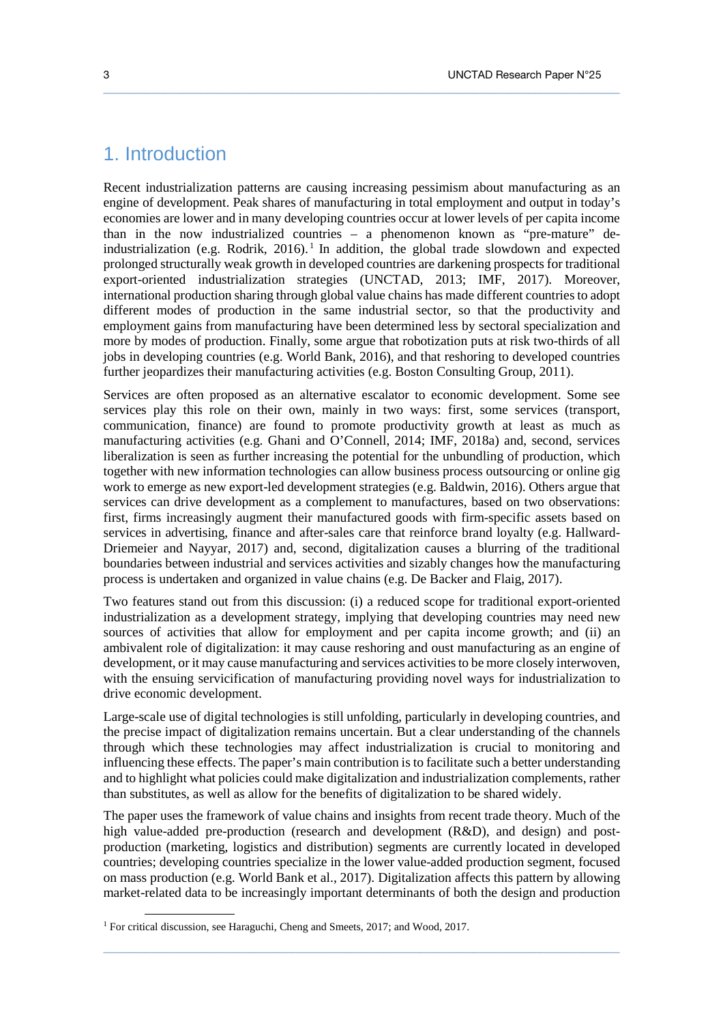# 1. Introduction

Recent industrialization patterns are causing increasing pessimism about manufacturing as an engine of development. Peak shares of manufacturing in total employment and output in today's economies are lower and in many developing countries occur at lower levels of per capita income than in the now industrialized countries – a phenomenon known as "pre-mature" deindustrialization (e.g. Rodrik,  $2016$ ).<sup>1</sup> In addition, the global trade slowdown and expected prolonged structurally weak growth in developed countries are darkening prospects for traditional export-oriented industrialization strategies (UNCTAD, 2013; IMF, 2017). Moreover, international production sharing through global value chains has made different countries to adopt different modes of production in the same industrial sector, so that the productivity and employment gains from manufacturing have been determined less by sectoral specialization and more by modes of production. Finally, some argue that robotization puts at risk two-thirds of all jobs in developing countries (e.g. World Bank, 2016), and that reshoring to developed countries further jeopardizes their manufacturing activities (e.g. Boston Consulting Group, 2011).

 $\_$  ,  $\_$  ,  $\_$  ,  $\_$  ,  $\_$  ,  $\_$  ,  $\_$  ,  $\_$  ,  $\_$  ,  $\_$  ,  $\_$  ,  $\_$  ,  $\_$  ,  $\_$  ,  $\_$  ,  $\_$  ,  $\_$  ,  $\_$  ,  $\_$  ,  $\_$  ,  $\_$  ,  $\_$  ,  $\_$  ,  $\_$  ,  $\_$  ,  $\_$  ,  $\_$  ,  $\_$  ,  $\_$  ,  $\_$  ,  $\_$  ,  $\_$  ,  $\_$  ,  $\_$  ,  $\_$  ,  $\_$  ,  $\_$  ,

Services are often proposed as an alternative escalator to economic development. Some see services play this role on their own, mainly in two ways: first, some services (transport, communication, finance) are found to promote productivity growth at least as much as manufacturing activities (e.g. Ghani and O'Connell, 2014; IMF, 2018a) and, second, services liberalization is seen as further increasing the potential for the unbundling of production, which together with new information technologies can allow business process outsourcing or online gig work to emerge as new export-led development strategies (e.g. Baldwin, 2016). Others argue that services can drive development as a complement to manufactures, based on two observations: first, firms increasingly augment their manufactured goods with firm-specific assets based on services in advertising, finance and after-sales care that reinforce brand loyalty (e.g. Hallward-Driemeier and Nayyar, 2017) and, second, digitalization causes a blurring of the traditional boundaries between industrial and services activities and sizably changes how the manufacturing process is undertaken and organized in value chains (e.g. De Backer and Flaig, 2017).

Two features stand out from this discussion: (i) a reduced scope for traditional export-oriented industrialization as a development strategy, implying that developing countries may need new sources of activities that allow for employment and per capita income growth; and (ii) an ambivalent role of digitalization: it may cause reshoring and oust manufacturing as an engine of development, or it may cause manufacturing and services activities to be more closely interwoven, with the ensuing servicification of manufacturing providing novel ways for industrialization to drive economic development.

Large-scale use of digital technologies is still unfolding, particularly in developing countries, and the precise impact of digitalization remains uncertain. But a clear understanding of the channels through which these technologies may affect industrialization is crucial to monitoring and influencing these effects. The paper's main contribution is to facilitate such a better understanding and to highlight what policies could make digitalization and industrialization complements, rather than substitutes, as well as allow for the benefits of digitalization to be shared widely.

The paper uses the framework of value chains and insights from recent trade theory. Much of the high value-added pre-production (research and development (R&D), and design) and postproduction (marketing, logistics and distribution) segments are currently located in developed countries; developing countries specialize in the lower value-added production segment, focused on mass production (e.g. World Bank et al., 2017). Digitalization affects this pattern by allowing market-related data to be increasingly important determinants of both the design and production

 $\_$  ,  $\_$  ,  $\_$  ,  $\_$  ,  $\_$  ,  $\_$  ,  $\_$  ,  $\_$  ,  $\_$  ,  $\_$  ,  $\_$  ,  $\_$  ,  $\_$  ,  $\_$  ,  $\_$  ,  $\_$  ,  $\_$  ,  $\_$  ,  $\_$  ,  $\_$  ,  $\_$  ,  $\_$  ,  $\_$  ,  $\_$  ,  $\_$  ,  $\_$  ,  $\_$  ,  $\_$  ,  $\_$  ,  $\_$  ,  $\_$  ,  $\_$  ,  $\_$  ,  $\_$  ,  $\_$  ,  $\_$  ,  $\_$  ,

l

<sup>&</sup>lt;sup>1</sup> For critical discussion, see Haraguchi, Cheng and Smeets, 2017; and Wood, 2017.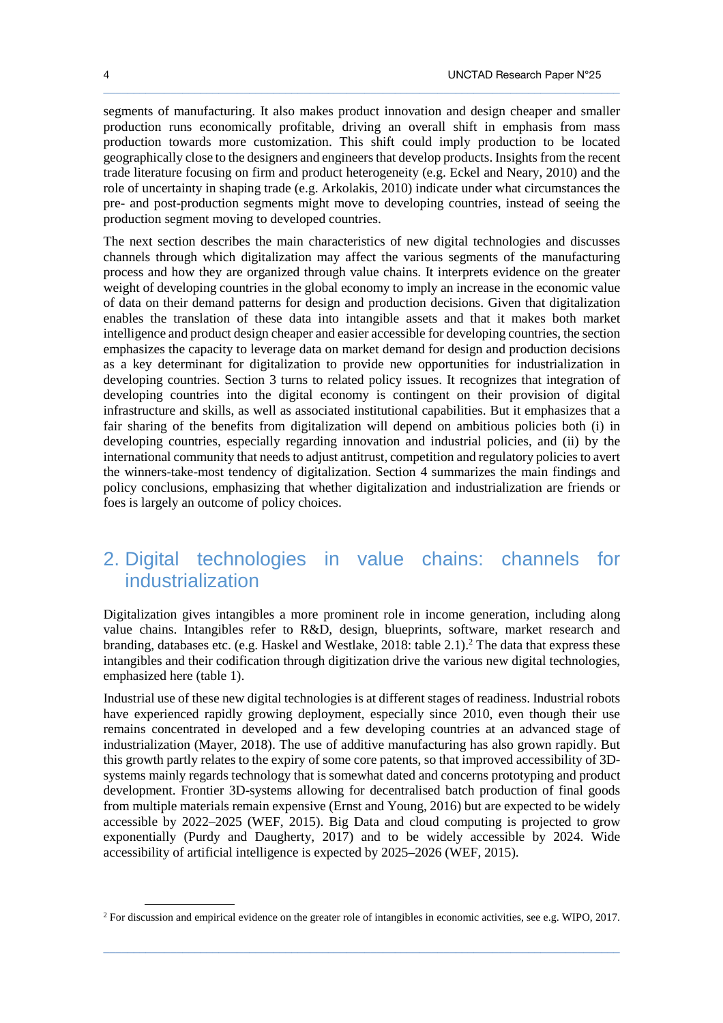segments of manufacturing. It also makes product innovation and design cheaper and smaller production runs economically profitable, driving an overall shift in emphasis from mass production towards more customization. This shift could imply production to be located geographically close to the designers and engineers that develop products. Insights from the recent trade literature focusing on firm and product heterogeneity (e.g. Eckel and Neary, 2010) and the role of uncertainty in shaping trade (e.g. Arkolakis, 2010) indicate under what circumstances the pre- and post-production segments might move to developing countries, instead of seeing the production segment moving to developed countries.

 $\_$  ,  $\_$  ,  $\_$  ,  $\_$  ,  $\_$  ,  $\_$  ,  $\_$  ,  $\_$  ,  $\_$  ,  $\_$  ,  $\_$  ,  $\_$  ,  $\_$  ,  $\_$  ,  $\_$  ,  $\_$  ,  $\_$  ,  $\_$  ,  $\_$  ,  $\_$  ,  $\_$  ,  $\_$  ,  $\_$  ,  $\_$  ,  $\_$  ,  $\_$  ,  $\_$  ,  $\_$  ,  $\_$  ,  $\_$  ,  $\_$  ,  $\_$  ,  $\_$  ,  $\_$  ,  $\_$  ,  $\_$  ,  $\_$  ,

The next section describes the main characteristics of new digital technologies and discusses channels through which digitalization may affect the various segments of the manufacturing process and how they are organized through value chains. It interprets evidence on the greater weight of developing countries in the global economy to imply an increase in the economic value of data on their demand patterns for design and production decisions. Given that digitalization enables the translation of these data into intangible assets and that it makes both market intelligence and product design cheaper and easier accessible for developing countries, the section emphasizes the capacity to leverage data on market demand for design and production decisions as a key determinant for digitalization to provide new opportunities for industrialization in developing countries. Section 3 turns to related policy issues. It recognizes that integration of developing countries into the digital economy is contingent on their provision of digital infrastructure and skills, as well as associated institutional capabilities. But it emphasizes that a fair sharing of the benefits from digitalization will depend on ambitious policies both (i) in developing countries, especially regarding innovation and industrial policies, and (ii) by the international community that needs to adjust antitrust, competition and regulatory policies to avert the winners-take-most tendency of digitalization. Section 4 summarizes the main findings and policy conclusions, emphasizing that whether digitalization and industrialization are friends or foes is largely an outcome of policy choices.

# 2. Digital technologies in value chains: channels for industrialization

Digitalization gives intangibles a more prominent role in income generation, including along value chains. Intangibles refer to R&D, design, blueprints, software, market research and branding, databases etc. (e.g. Haskel and Westlake, 2018: table 2.1).<sup>2</sup> The data that express these intangibles and their codification through digitization drive the various new digital technologies, emphasized here (table 1).

Industrial use of these new digital technologies is at different stages of readiness. Industrial robots have experienced rapidly growing deployment, especially since 2010, even though their use remains concentrated in developed and a few developing countries at an advanced stage of industrialization (Mayer, 2018). The use of additive manufacturing has also grown rapidly. But this growth partly relates to the expiry of some core patents, so that improved accessibility of 3Dsystems mainly regards technology that is somewhat dated and concerns prototyping and product development. Frontier 3D-systems allowing for decentralised batch production of final goods from multiple materials remain expensive (Ernst and Young, 2016) but are expected to be widely accessible by 2022–2025 (WEF, 2015). Big Data and cloud computing is projected to grow exponentially (Purdy and Daugherty, 2017) and to be widely accessible by 2024. Wide accessibility of artificial intelligence is expected by 2025–2026 (WEF, 2015).

 $\_$  ,  $\_$  ,  $\_$  ,  $\_$  ,  $\_$  ,  $\_$  ,  $\_$  ,  $\_$  ,  $\_$  ,  $\_$  ,  $\_$  ,  $\_$  ,  $\_$  ,  $\_$  ,  $\_$  ,  $\_$  ,  $\_$  ,  $\_$  ,  $\_$  ,  $\_$  ,  $\_$  ,  $\_$  ,  $\_$  ,  $\_$  ,  $\_$  ,  $\_$  ,  $\_$  ,  $\_$  ,  $\_$  ,  $\_$  ,  $\_$  ,  $\_$  ,  $\_$  ,  $\_$  ,  $\_$  ,  $\_$  ,  $\_$  ,

 $\ddot{\phantom{a}}$ 

<sup>&</sup>lt;sup>2</sup> For discussion and empirical evidence on the greater role of intangibles in economic activities, see e.g. WIPO, 2017.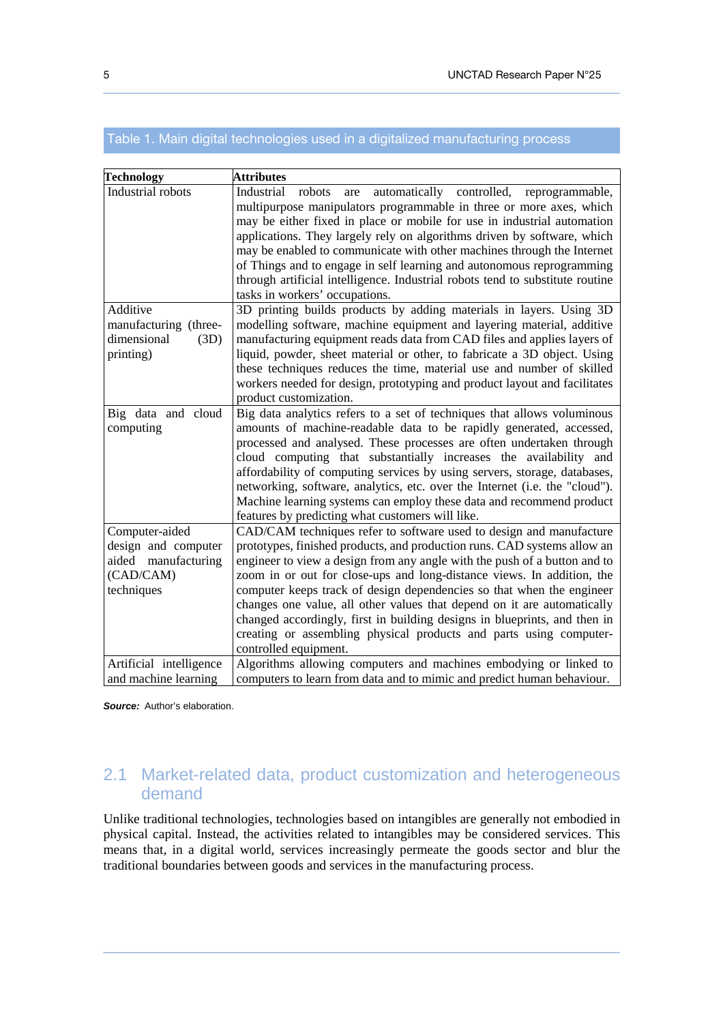## Table 1. Main digital technologies used in a digitalized manufacturing process

 $\_$  ,  $\_$  ,  $\_$  ,  $\_$  ,  $\_$  ,  $\_$  ,  $\_$  ,  $\_$  ,  $\_$  ,  $\_$  ,  $\_$  ,  $\_$  ,  $\_$  ,  $\_$  ,  $\_$  ,  $\_$  ,  $\_$  ,  $\_$  ,  $\_$  ,  $\_$  ,  $\_$  ,  $\_$  ,  $\_$  ,  $\_$  ,  $\_$  ,  $\_$  ,  $\_$  ,  $\_$  ,  $\_$  ,  $\_$  ,  $\_$  ,  $\_$  ,  $\_$  ,  $\_$  ,  $\_$  ,  $\_$  ,  $\_$  ,

| <b>Technology</b>                                                     | <b>Attributes</b>                                                                                                                                                                                                                                                                                                                                                                                                                                                                                                                                                                   |
|-----------------------------------------------------------------------|-------------------------------------------------------------------------------------------------------------------------------------------------------------------------------------------------------------------------------------------------------------------------------------------------------------------------------------------------------------------------------------------------------------------------------------------------------------------------------------------------------------------------------------------------------------------------------------|
| Industrial robots                                                     | Industrial<br>robots<br>automatically controlled,<br>are<br>reprogrammable,<br>multipurpose manipulators programmable in three or more axes, which<br>may be either fixed in place or mobile for use in industrial automation                                                                                                                                                                                                                                                                                                                                                       |
|                                                                       | applications. They largely rely on algorithms driven by software, which<br>may be enabled to communicate with other machines through the Internet                                                                                                                                                                                                                                                                                                                                                                                                                                   |
|                                                                       | of Things and to engage in self learning and autonomous reprogramming<br>through artificial intelligence. Industrial robots tend to substitute routine<br>tasks in workers' occupations.                                                                                                                                                                                                                                                                                                                                                                                            |
| Additive<br>manufacturing (three-<br>dimensional<br>(3D)<br>printing) | 3D printing builds products by adding materials in layers. Using 3D<br>modelling software, machine equipment and layering material, additive<br>manufacturing equipment reads data from CAD files and applies layers of<br>liquid, powder, sheet material or other, to fabricate a 3D object. Using<br>these techniques reduces the time, material use and number of skilled<br>workers needed for design, prototyping and product layout and facilitates<br>product customization.                                                                                                 |
| Big data and cloud<br>computing                                       | Big data analytics refers to a set of techniques that allows voluminous<br>amounts of machine-readable data to be rapidly generated, accessed,<br>processed and analysed. These processes are often undertaken through<br>cloud computing that substantially increases the availability and<br>affordability of computing services by using servers, storage, databases,<br>networking, software, analytics, etc. over the Internet (i.e. the "cloud").<br>Machine learning systems can employ these data and recommend product<br>features by predicting what customers will like. |
| Computer-aided                                                        | CAD/CAM techniques refer to software used to design and manufacture                                                                                                                                                                                                                                                                                                                                                                                                                                                                                                                 |
| design and computer                                                   | prototypes, finished products, and production runs. CAD systems allow an                                                                                                                                                                                                                                                                                                                                                                                                                                                                                                            |
| aided manufacturing<br>(CAD/CAM)                                      | engineer to view a design from any angle with the push of a button and to<br>zoom in or out for close-ups and long-distance views. In addition, the                                                                                                                                                                                                                                                                                                                                                                                                                                 |
| techniques                                                            | computer keeps track of design dependencies so that when the engineer                                                                                                                                                                                                                                                                                                                                                                                                                                                                                                               |
|                                                                       | changes one value, all other values that depend on it are automatically<br>changed accordingly, first in building designs in blueprints, and then in<br>creating or assembling physical products and parts using computer-<br>controlled equipment.                                                                                                                                                                                                                                                                                                                                 |
| Artificial intelligence                                               | Algorithms allowing computers and machines embodying or linked to                                                                                                                                                                                                                                                                                                                                                                                                                                                                                                                   |
| and machine learning                                                  | computers to learn from data and to mimic and predict human behaviour.                                                                                                                                                                                                                                                                                                                                                                                                                                                                                                              |

**Source:** Author's elaboration.

# 2.1 Market-related data, product customization and heterogeneous demand

Unlike traditional technologies, technologies based on intangibles are generally not embodied in physical capital. Instead, the activities related to intangibles may be considered services. This means that, in a digital world, services increasingly permeate the goods sector and blur the traditional boundaries between goods and services in the manufacturing process.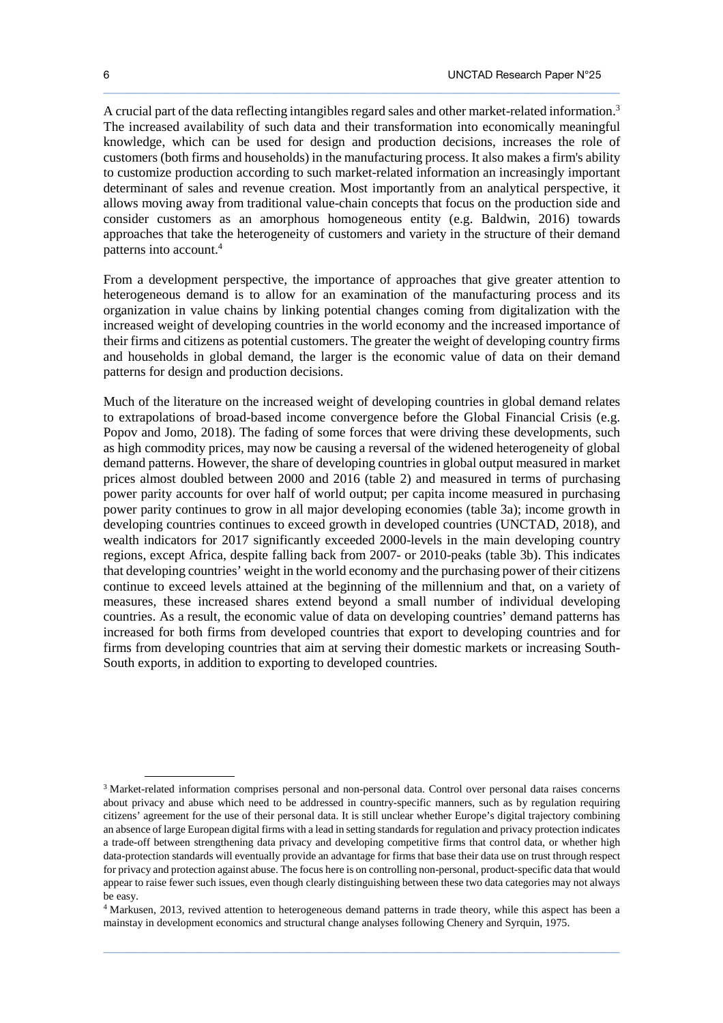A crucial part of the data reflecting intangibles regard sales and other market-related information.<sup>3</sup> The increased availability of such data and their transformation into economically meaningful knowledge, which can be used for design and production decisions, increases the role of customers (both firms and households) in the manufacturing process. It also makes a firm's ability to customize production according to such market-related information an increasingly important determinant of sales and revenue creation. Most importantly from an analytical perspective, it allows moving away from traditional value-chain concepts that focus on the production side and consider customers as an amorphous homogeneous entity (e.g. Baldwin, 2016) towards approaches that take the heterogeneity of customers and variety in the structure of their demand patterns into account.<sup>4</sup>

 $\_$  ,  $\_$  ,  $\_$  ,  $\_$  ,  $\_$  ,  $\_$  ,  $\_$  ,  $\_$  ,  $\_$  ,  $\_$  ,  $\_$  ,  $\_$  ,  $\_$  ,  $\_$  ,  $\_$  ,  $\_$  ,  $\_$  ,  $\_$  ,  $\_$  ,  $\_$  ,  $\_$  ,  $\_$  ,  $\_$  ,  $\_$  ,  $\_$  ,  $\_$  ,  $\_$  ,  $\_$  ,  $\_$  ,  $\_$  ,  $\_$  ,  $\_$  ,  $\_$  ,  $\_$  ,  $\_$  ,  $\_$  ,  $\_$  ,

From a development perspective, the importance of approaches that give greater attention to heterogeneous demand is to allow for an examination of the manufacturing process and its organization in value chains by linking potential changes coming from digitalization with the increased weight of developing countries in the world economy and the increased importance of their firms and citizens as potential customers. The greater the weight of developing country firms and households in global demand, the larger is the economic value of data on their demand patterns for design and production decisions.

Much of the literature on the increased weight of developing countries in global demand relates to extrapolations of broad-based income convergence before the Global Financial Crisis (e.g. Popov and Jomo, 2018). The fading of some forces that were driving these developments, such as high commodity prices, may now be causing a reversal of the widened heterogeneity of global demand patterns. However, the share of developing countries in global output measured in market prices almost doubled between 2000 and 2016 (table 2) and measured in terms of purchasing power parity accounts for over half of world output; per capita income measured in purchasing power parity continues to grow in all major developing economies (table 3a); income growth in developing countries continues to exceed growth in developed countries (UNCTAD, 2018), and wealth indicators for 2017 significantly exceeded 2000-levels in the main developing country regions, except Africa, despite falling back from 2007- or 2010-peaks (table 3b). This indicates that developing countries' weight in the world economy and the purchasing power of their citizens continue to exceed levels attained at the beginning of the millennium and that, on a variety of measures, these increased shares extend beyond a small number of individual developing countries. As a result, the economic value of data on developing countries' demand patterns has increased for both firms from developed countries that export to developing countries and for firms from developing countries that aim at serving their domestic markets or increasing South-South exports, in addition to exporting to developed countries.

 $\_$  ,  $\_$  ,  $\_$  ,  $\_$  ,  $\_$  ,  $\_$  ,  $\_$  ,  $\_$  ,  $\_$  ,  $\_$  ,  $\_$  ,  $\_$  ,  $\_$  ,  $\_$  ,  $\_$  ,  $\_$  ,  $\_$  ,  $\_$  ,  $\_$  ,  $\_$  ,  $\_$  ,  $\_$  ,  $\_$  ,  $\_$  ,  $\_$  ,  $\_$  ,  $\_$  ,  $\_$  ,  $\_$  ,  $\_$  ,  $\_$  ,  $\_$  ,  $\_$  ,  $\_$  ,  $\_$  ,  $\_$  ,  $\_$  ,

<sup>3</sup> Market-related information comprises personal and non-personal data. Control over personal data raises concerns about privacy and abuse which need to be addressed in country-specific manners, such as by regulation requiring citizens' agreement for the use of their personal data. It is still unclear whether Europe's digital trajectory combining an absence of large European digital firms with a lead in setting standards for regulation and privacy protection indicates a trade-off between strengthening data privacy and developing competitive firms that control data, or whether high data-protection standards will eventually provide an advantage for firms that base their data use on trust through respect for privacy and protection against abuse. The focus here is on controlling non-personal, product-specific data that would appear to raise fewer such issues, even though clearly distinguishing between these two data categories may not always be easy.

<sup>4</sup> Markusen, 2013, revived attention to heterogeneous demand patterns in trade theory, while this aspect has been a mainstay in development economics and structural change analyses following Chenery and Syrquin, 1975.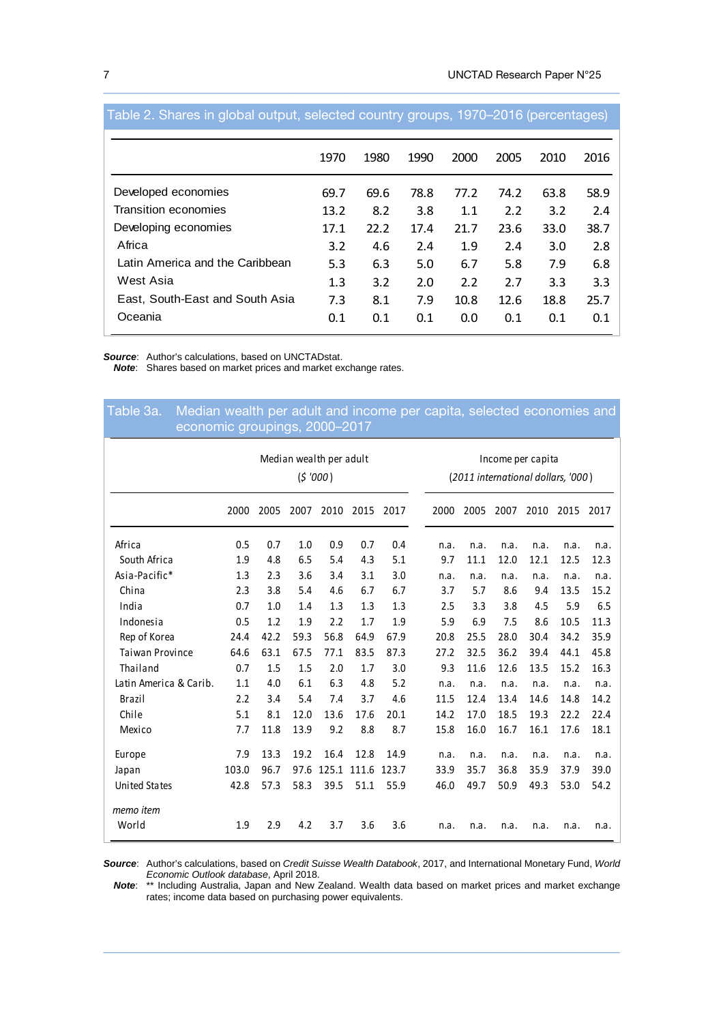|                                 | 1970 | 1980 | 1990 | 2000 | 2005 | 2010 | 2016 |
|---------------------------------|------|------|------|------|------|------|------|
| Developed economies             | 69.7 | 69.6 | 78.8 | 77.2 | 74.2 | 63.8 | 58.9 |
| Transition economies            | 13.2 | 8.2  | 3.8  | 1.1  | 2.2  | 3.2  | 2.4  |
| Developing economies            | 17.1 | 22.2 | 17.4 | 21.7 | 23.6 | 33.0 | 38.7 |
| Africa                          | 3.2  | 4.6  | 2.4  | 1.9  | 2.4  | 3.0  | 2.8  |
| Latin America and the Caribbean | 5.3  | 6.3  | 5.0  | 6.7  | 5.8  | 7.9  | 6.8  |
| West Asia                       | 1.3  | 3.2  | 2.0  | 2.2  | 2.7  | 3.3  | 3.3  |
| East, South-East and South Asia | 7.3  | 8.1  | 7.9  | 10.8 | 12.6 | 18.8 | 25.7 |
| Oceania                         | 0.1  | 0.1  | 0.1  | 0.0  | 0.1  | 0.1  | 0.1  |

#### Table 2. Shares in global output, selected country groups, 1970–2016 (percentages)

 $\_$  ,  $\_$  ,  $\_$  ,  $\_$  ,  $\_$  ,  $\_$  ,  $\_$  ,  $\_$  ,  $\_$  ,  $\_$  ,  $\_$  ,  $\_$  ,  $\_$  ,  $\_$  ,  $\_$  ,  $\_$  ,  $\_$  ,  $\_$  ,  $\_$  ,  $\_$  ,  $\_$  ,  $\_$  ,  $\_$  ,  $\_$  ,  $\_$  ,  $\_$  ,  $\_$  ,  $\_$  ,  $\_$  ,  $\_$  ,  $\_$  ,  $\_$  ,  $\_$  ,  $\_$  ,  $\_$  ,  $\_$  ,  $\_$  ,

**Source:** Author's calculations, based on UNCTADstat.<br>**Note:** Shares based on market prices and market ex

Shares based on market prices and market exchange rates.

# 2000 2005 2007 2010 2015 2017 2000 2005 2007 2010 2015 2017 Africa 0.5 0.7 1.0 0.9 0.7 0.4 n.a. n.a. n.a. n.a. n.a. n.a. South Africa 1.9 4.8 6.5 5.4 4.3 5.1 9.7 11.1 12.0 12.1 12.5 12.3 Asia-Pacific\* 1.3 2.3 3.6 3.4 3.1 3.0 n.a. n.a. n.a. n.a. n.a. n.a. China 2.3 3.8 5.4 4.6 6.7 6.7 3.7 5.7 8.6 9.4 13.5 15.2 India 0.7 1.0 1.4 1.3 1.3 1.3 2.5 3.3 3.8 4.5 5.9 6.5 Indonesia 0.5 1.2 1.9 2.2 1.7 1.9 5.9 6.9 7.5 8.6 10.5 11.3 Rep of Korea 24.4 42.2 59.3 56.8 64.9 67.9 20.8 25.5 28.0 30.4 34.2 35.9 Taiwan Province 64.6 63.1 67.5 77.1 83.5 87.3 27.2 32.5 36.2 39.4 44.1 45.8 Thailand 0.7 1.5 1.5 2.0 1.7 3.0 9.3 11.6 12.6 13.5 15.2 16.3 Latin America & Carib. 1.1 4.0 6.1 6.3 4.8 5.2 n.a. n.a. n.a. n.a. n.a. n.a. Brazil 2.2 3.4 5.4 7.4 3.7 4.6 11.5 12.4 13.4 14.6 14.8 14.2 Chile 5.1 8.1 12.0 13.6 17.6 20.1 14.2 17.0 18.5 19.3 22.2 22.4 Mexico 7.7 11.8 13.9 9.2 8.8 8.7 15.8 16.0 16.7 16.1 17.6 18.1 Europe 7.9 13.3 19.2 16.4 12.8 14.9 n.a. n.a. n.a. n.a. n.a. n.a. Japan 103.0 96.7 97.6 125.1 111.6 123.7 33.9 35.7 36.8 35.9 37.9 39.0 United States 42.8 57.3 58.3 39.5 51.1 55.9 46.0 49.7 50.9 49.3 53.0 54.2 *memo item* World 1.9 2.9 4.2 3.7 3.6 3.6 n.a. n.a. n.a. n.a. n.a. n.a. Median wealth per adult **Income per capita**  (*\$ '000* ) (*2011 international dollars, '000* ) economic groupings, 2000–2017

Table 3a. Median wealth per adult and income per capita, selected economies and

**Source**: Author's calculations, based on Credit Suisse Wealth Databook, 2017, and International Monetary Fund, World Economic Outlook database, April 2018.

 $\_$  ,  $\_$  ,  $\_$  ,  $\_$  ,  $\_$  ,  $\_$  ,  $\_$  ,  $\_$  ,  $\_$  ,  $\_$  ,  $\_$  ,  $\_$  ,  $\_$  ,  $\_$  ,  $\_$  ,  $\_$  ,  $\_$  ,  $\_$  ,  $\_$  ,  $\_$  ,  $\_$  ,  $\_$  ,  $\_$  ,  $\_$  ,  $\_$  ,  $\_$  ,  $\_$  ,  $\_$  ,  $\_$  ,  $\_$  ,  $\_$  ,  $\_$  ,  $\_$  ,  $\_$  ,  $\_$  ,  $\_$  ,  $\_$  ,

**Note**: \*\* Including Australia, Japan and New Zealand. Wealth data based on market prices and market exchange rates; income data based on purchasing power equivalents.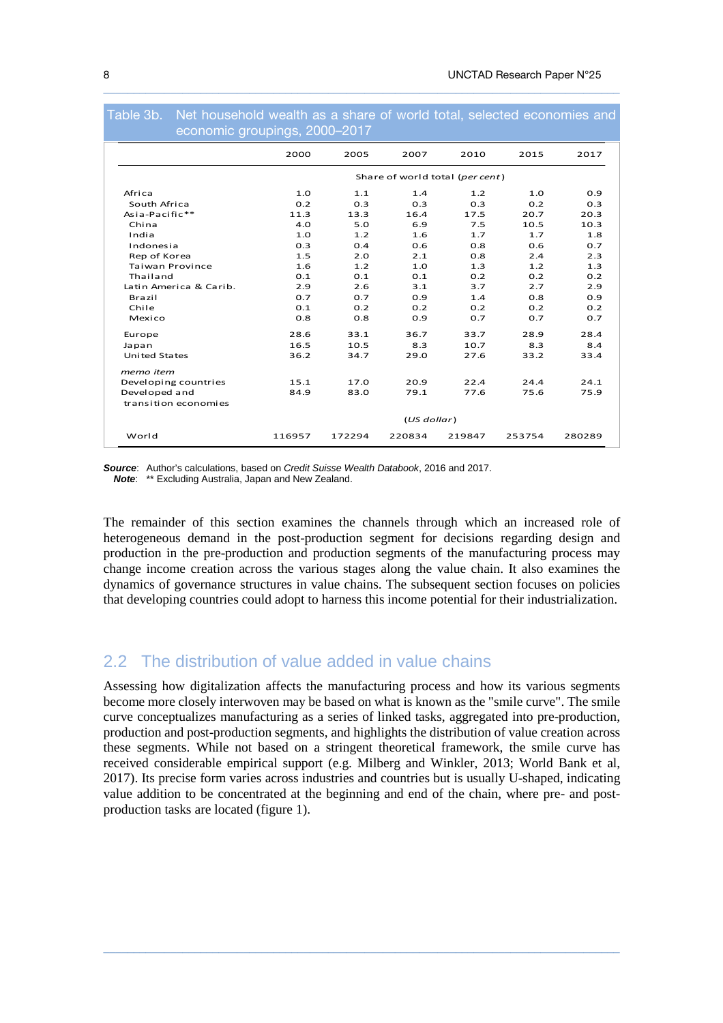| economic groupings, 2000-2017 |             |        |        |                                 |        |        |
|-------------------------------|-------------|--------|--------|---------------------------------|--------|--------|
|                               | 2000        | 2005   | 2007   | 2010                            | 2015   | 2017   |
|                               |             |        |        | Share of world total (per cent) |        |        |
| Africa                        | 1.0         | 1.1    | 1.4    | 1.2                             | 1.0    | 0.9    |
| South Africa                  | 0.2         | 0.3    | 0.3    | 0.3                             | 0.2    | 0.3    |
| Asia-Pacific**                | 11.3        | 13.3   | 16.4   | 17.5                            | 20.7   | 20.3   |
| China                         | 4.0         | 5.0    | 6.9    | 7.5                             | 10.5   | 10.3   |
| India                         | 1.0         | 1.2    | 1.6    | 1.7                             | 1.7    | 1.8    |
| Indonesia                     | 0.3         | 0.4    | 0.6    | 0.8                             | 0.6    | 0.7    |
| Rep of Korea                  | 1.5         | 2.0    | 2.1    | 0.8                             | 2.4    | 2.3    |
| <b>Taiwan Province</b>        | 1.6         | 1.2    | 1.0    | 1.3                             | 1.2    | 1.3    |
| Thailand                      | 0.1         | 0.1    | 0.1    | 0.2                             | 0.2    | 0.2    |
| Latin America & Carib.        | 2.9         | 2.6    | 3.1    | 3.7                             | 2.7    | 2.9    |
| Brazil                        | 0.7         | 0.7    | 0.9    | 1.4                             | 0.8    | 0.9    |
| Chile                         | 0.1         | 0.2    | 0.2    | 0.2                             | 0.2    | 0.2    |
| Mexico                        | 0.8         | 0.8    | 0.9    | 0.7                             | 0.7    | 0.7    |
| Europe                        | 28.6        | 33.1   | 36.7   | 33.7                            | 28.9   | 28.4   |
| Japan                         | 16.5        | 10.5   | 8.3    | 10.7                            | 8.3    | 8.4    |
| <b>United States</b>          | 36.2        | 34.7   | 29.0   | 27.6                            | 33.2   | 33.4   |
| memo item                     |             |        |        |                                 |        |        |
| Developing countries          | 15.1        | 17.0   | 20.9   | 22.4                            | 24.4   | 24.1   |
| Developed and                 | 84.9        | 83.0   | 79.1   | 77.6                            | 75.6   | 75.9   |
| transition economies          |             |        |        |                                 |        |        |
|                               | (US dollar) |        |        |                                 |        |        |
| World                         | 116957      | 172294 | 220834 | 219847                          | 253754 | 280289 |

Table 3b. Net household wealth as a share of world total, selected economies and

 $\_$  ,  $\_$  ,  $\_$  ,  $\_$  ,  $\_$  ,  $\_$  ,  $\_$  ,  $\_$  ,  $\_$  ,  $\_$  ,  $\_$  ,  $\_$  ,  $\_$  ,  $\_$  ,  $\_$  ,  $\_$  ,  $\_$  ,  $\_$  ,  $\_$  ,  $\_$  ,  $\_$  ,  $\_$  ,  $\_$  ,  $\_$  ,  $\_$  ,  $\_$  ,  $\_$  ,  $\_$  ,  $\_$  ,  $\_$  ,  $\_$  ,  $\_$  ,  $\_$  ,  $\_$  ,  $\_$  ,  $\_$  ,  $\_$  ,

**Source**: Author's calculations, based on Credit Suisse Wealth Databook, 2016 and 2017. **Note**: \*\* Excluding Australia, Japan and New Zealand.

The remainder of this section examines the channels through which an increased role of heterogeneous demand in the post-production segment for decisions regarding design and production in the pre-production and production segments of the manufacturing process may change income creation across the various stages along the value chain. It also examines the dynamics of governance structures in value chains. The subsequent section focuses on policies that developing countries could adopt to harness this income potential for their industrialization.

# 2.2 The distribution of value added in value chains

Assessing how digitalization affects the manufacturing process and how its various segments become more closely interwoven may be based on what is known as the "smile curve". The smile curve conceptualizes manufacturing as a series of linked tasks, aggregated into pre-production, production and post-production segments, and highlights the distribution of value creation across these segments. While not based on a stringent theoretical framework, the smile curve has received considerable empirical support (e.g. Milberg and Winkler, 2013; World Bank et al, 2017). Its precise form varies across industries and countries but is usually U-shaped, indicating value addition to be concentrated at the beginning and end of the chain, where pre- and postproduction tasks are located (figure 1).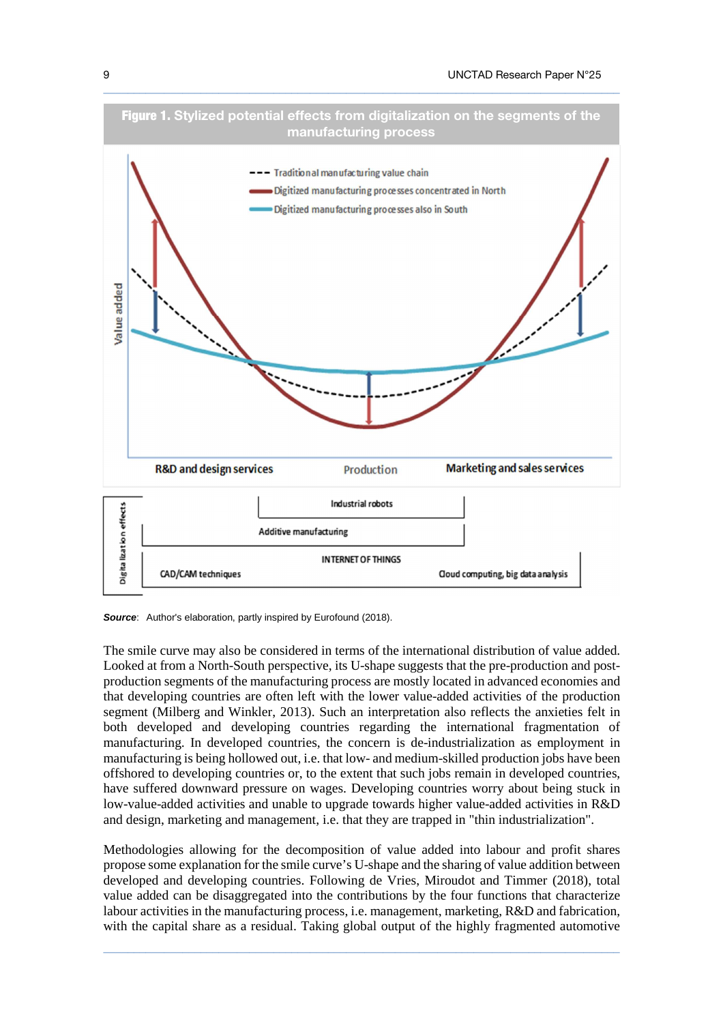

**Source**: Author's elaboration, partly inspired by Eurofound (2018).

The smile curve may also be considered in terms of the international distribution of value added. Looked at from a North-South perspective, its U-shape suggests that the pre-production and postproduction segments of the manufacturing process are mostly located in advanced economies and that developing countries are often left with the lower value-added activities of the production segment (Milberg and Winkler, 2013). Such an interpretation also reflects the anxieties felt in both developed and developing countries regarding the international fragmentation of manufacturing. In developed countries, the concern is de-industrialization as employment in manufacturing is being hollowed out, i.e. that low- and medium-skilled production jobs have been offshored to developing countries or, to the extent that such jobs remain in developed countries, have suffered downward pressure on wages. Developing countries worry about being stuck in low-value-added activities and unable to upgrade towards higher value-added activities in R&D and design, marketing and management, i.e. that they are trapped in "thin industrialization".

Methodologies allowing for the decomposition of value added into labour and profit shares propose some explanation for the smile curve's U-shape and the sharing of value addition between developed and developing countries. Following de Vries, Miroudot and Timmer (2018), total value added can be disaggregated into the contributions by the four functions that characterize labour activities in the manufacturing process, i.e. management, marketing, R&D and fabrication, with the capital share as a residual. Taking global output of the highly fragmented automotive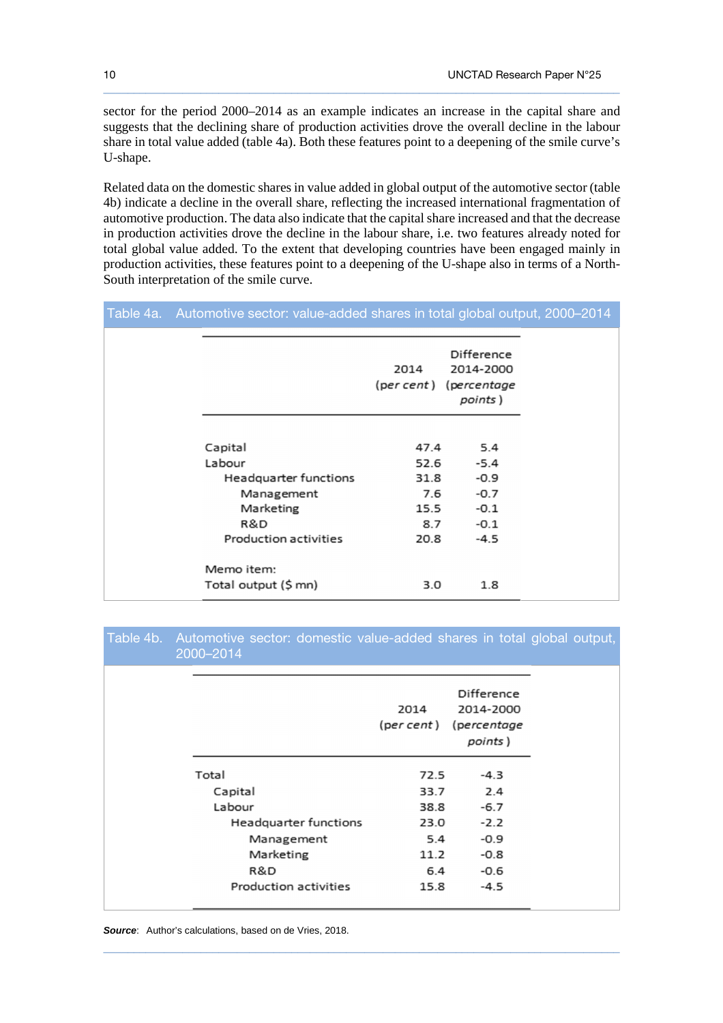sector for the period 2000–2014 as an example indicates an increase in the capital share and suggests that the declining share of production activities drove the overall decline in the labour share in total value added (table 4a). Both these features point to a deepening of the smile curve's U-shape.

 $\_$  ,  $\_$  ,  $\_$  ,  $\_$  ,  $\_$  ,  $\_$  ,  $\_$  ,  $\_$  ,  $\_$  ,  $\_$  ,  $\_$  ,  $\_$  ,  $\_$  ,  $\_$  ,  $\_$  ,  $\_$  ,  $\_$  ,  $\_$  ,  $\_$  ,  $\_$  ,  $\_$  ,  $\_$  ,  $\_$  ,  $\_$  ,  $\_$  ,  $\_$  ,  $\_$  ,  $\_$  ,  $\_$  ,  $\_$  ,  $\_$  ,  $\_$  ,  $\_$  ,  $\_$  ,  $\_$  ,  $\_$  ,  $\_$  ,

Related data on the domestic shares in value added in global output of the automotive sector (table 4b) indicate a decline in the overall share, reflecting the increased international fragmentation of automotive production. The data also indicate that the capital share increased and that the decrease in production activities drove the decline in the labour share, i.e. two features already noted for total global value added. To the extent that developing countries have been engaged mainly in production activities, these features point to a deepening of the U-shape also in terms of a North-South interpretation of the smile curve.

|  | Table 4a. Automotive sector: value-added shares in total global output, 2000–2014 |                     |                                                                      |  |  |
|--|-----------------------------------------------------------------------------------|---------------------|----------------------------------------------------------------------|--|--|
|  |                                                                                   | 2014                | <b>Difference</b><br>2014-2000<br>(per cent) (percentage)<br>points) |  |  |
|  | Capital<br>Labour                                                                 | 47.4<br>52.6        | 5.4<br>$-5.4$                                                        |  |  |
|  | Headquarter functions<br>Management<br>Marketing                                  | 31.8<br>7.6<br>15.5 | $-0.9$<br>$-0.7$<br>$-0.1$                                           |  |  |
|  | R&D<br>Production activities                                                      | 8.7<br>20.8         | $-0.1$<br>$-4.5$                                                     |  |  |
|  | Memo item:<br>Total output (\$ mn)                                                | 3.0                 | 1.8                                                                  |  |  |

## Table 4b. Automotive sector: domestic value-added shares in total global output, 2000–2014

|                       | 2014<br>(per cent ) | Difference<br>2014-2000<br>(percentage<br>points) |
|-----------------------|---------------------|---------------------------------------------------|
| Total                 | 72.5                | $-4.3$                                            |
| Capital               | 33.7                | 2.4                                               |
| Labour                | 38.8                | $-6.7$                                            |
| Headquarter functions | 23.0                | $-2.2$                                            |
| Management            | 5.4                 | $-0.9$                                            |
| Marketing             | 11.2                | $-0.8$                                            |
| R&D                   | 6.4                 | $-0.6$                                            |
| Production activities | 15.8                | $-4.5$                                            |

|  | <b>Source:</b> Author's calculations, based on de Vries, 2018. |  |  |
|--|----------------------------------------------------------------|--|--|
|--|----------------------------------------------------------------|--|--|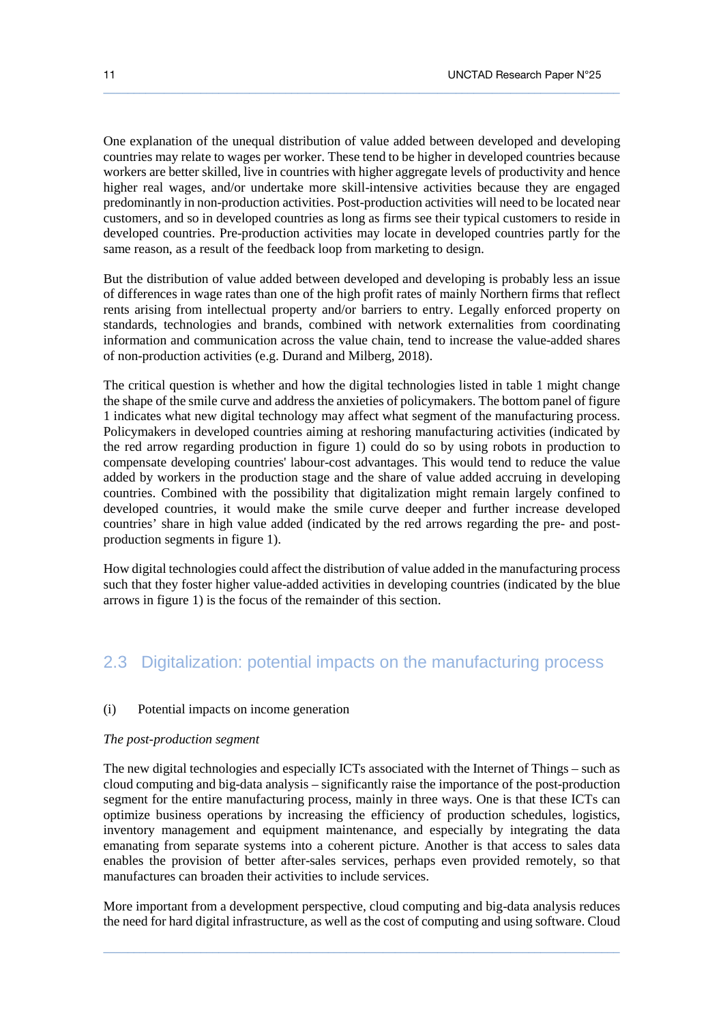One explanation of the unequal distribution of value added between developed and developing countries may relate to wages per worker. These tend to be higher in developed countries because workers are better skilled, live in countries with higher aggregate levels of productivity and hence higher real wages, and/or undertake more skill-intensive activities because they are engaged predominantly in non-production activities. Post-production activities will need to be located near customers, and so in developed countries as long as firms see their typical customers to reside in developed countries. Pre-production activities may locate in developed countries partly for the same reason, as a result of the feedback loop from marketing to design.

 $\_$  ,  $\_$  ,  $\_$  ,  $\_$  ,  $\_$  ,  $\_$  ,  $\_$  ,  $\_$  ,  $\_$  ,  $\_$  ,  $\_$  ,  $\_$  ,  $\_$  ,  $\_$  ,  $\_$  ,  $\_$  ,  $\_$  ,  $\_$  ,  $\_$  ,  $\_$  ,  $\_$  ,  $\_$  ,  $\_$  ,  $\_$  ,  $\_$  ,  $\_$  ,  $\_$  ,  $\_$  ,  $\_$  ,  $\_$  ,  $\_$  ,  $\_$  ,  $\_$  ,  $\_$  ,  $\_$  ,  $\_$  ,  $\_$  ,

But the distribution of value added between developed and developing is probably less an issue of differences in wage rates than one of the high profit rates of mainly Northern firms that reflect rents arising from intellectual property and/or barriers to entry. Legally enforced property on standards, technologies and brands, combined with network externalities from coordinating information and communication across the value chain, tend to increase the value-added shares of non-production activities (e.g. Durand and Milberg, 2018).

The critical question is whether and how the digital technologies listed in table 1 might change the shape of the smile curve and address the anxieties of policymakers. The bottom panel of figure 1 indicates what new digital technology may affect what segment of the manufacturing process. Policymakers in developed countries aiming at reshoring manufacturing activities (indicated by the red arrow regarding production in figure 1) could do so by using robots in production to compensate developing countries' labour-cost advantages. This would tend to reduce the value added by workers in the production stage and the share of value added accruing in developing countries. Combined with the possibility that digitalization might remain largely confined to developed countries, it would make the smile curve deeper and further increase developed countries' share in high value added (indicated by the red arrows regarding the pre- and postproduction segments in figure 1).

How digital technologies could affect the distribution of value added in the manufacturing process such that they foster higher value-added activities in developing countries (indicated by the blue arrows in figure 1) is the focus of the remainder of this section.

## 2.3 Digitalization: potential impacts on the manufacturing process

#### (i) Potential impacts on income generation

#### *The post-production segment*

The new digital technologies and especially ICTs associated with the Internet of Things – such as cloud computing and big-data analysis – significantly raise the importance of the post-production segment for the entire manufacturing process, mainly in three ways. One is that these ICTs can optimize business operations by increasing the efficiency of production schedules, logistics, inventory management and equipment maintenance, and especially by integrating the data emanating from separate systems into a coherent picture. Another is that access to sales data enables the provision of better after-sales services, perhaps even provided remotely, so that manufactures can broaden their activities to include services.

More important from a development perspective, cloud computing and big-data analysis reduces the need for hard digital infrastructure, as well as the cost of computing and using software. Cloud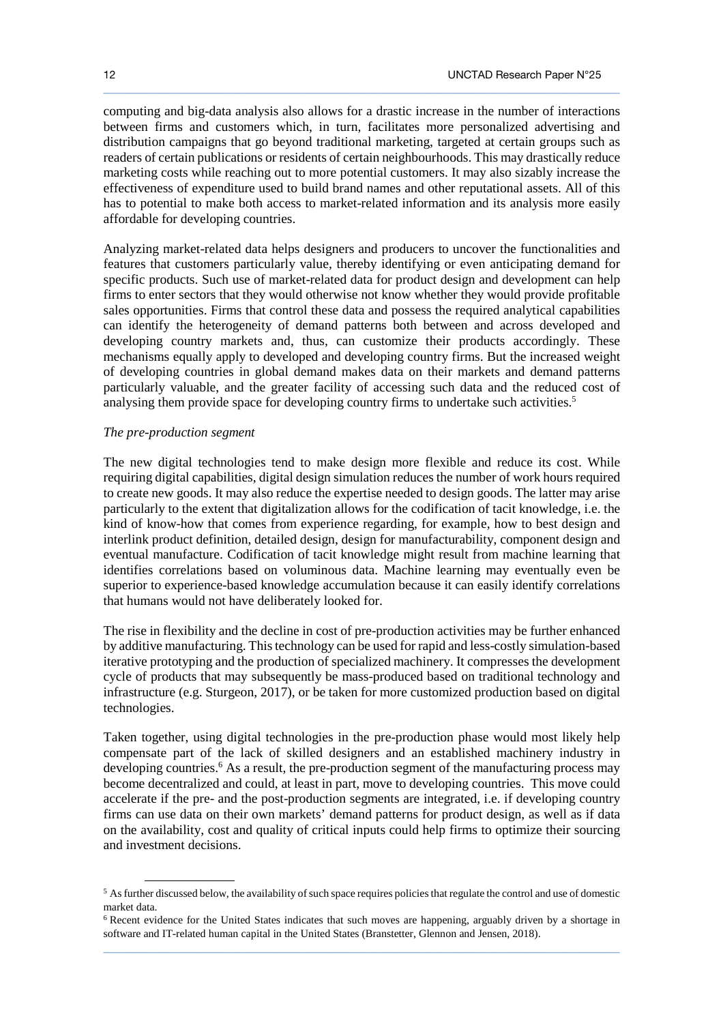computing and big-data analysis also allows for a drastic increase in the number of interactions between firms and customers which, in turn, facilitates more personalized advertising and distribution campaigns that go beyond traditional marketing, targeted at certain groups such as readers of certain publications or residents of certain neighbourhoods. This may drastically reduce marketing costs while reaching out to more potential customers. It may also sizably increase the effectiveness of expenditure used to build brand names and other reputational assets. All of this has to potential to make both access to market-related information and its analysis more easily affordable for developing countries.

 $\_$  ,  $\_$  ,  $\_$  ,  $\_$  ,  $\_$  ,  $\_$  ,  $\_$  ,  $\_$  ,  $\_$  ,  $\_$  ,  $\_$  ,  $\_$  ,  $\_$  ,  $\_$  ,  $\_$  ,  $\_$  ,  $\_$  ,  $\_$  ,  $\_$  ,  $\_$  ,  $\_$  ,  $\_$  ,  $\_$  ,  $\_$  ,  $\_$  ,  $\_$  ,  $\_$  ,  $\_$  ,  $\_$  ,  $\_$  ,  $\_$  ,  $\_$  ,  $\_$  ,  $\_$  ,  $\_$  ,  $\_$  ,  $\_$  ,

Analyzing market-related data helps designers and producers to uncover the functionalities and features that customers particularly value, thereby identifying or even anticipating demand for specific products. Such use of market-related data for product design and development can help firms to enter sectors that they would otherwise not know whether they would provide profitable sales opportunities. Firms that control these data and possess the required analytical capabilities can identify the heterogeneity of demand patterns both between and across developed and developing country markets and, thus, can customize their products accordingly. These mechanisms equally apply to developed and developing country firms. But the increased weight of developing countries in global demand makes data on their markets and demand patterns particularly valuable, and the greater facility of accessing such data and the reduced cost of analysing them provide space for developing country firms to undertake such activities.<sup>5</sup>

#### *The pre-production segment*

l

The new digital technologies tend to make design more flexible and reduce its cost. While requiring digital capabilities, digital design simulation reduces the number of work hours required to create new goods. It may also reduce the expertise needed to design goods. The latter may arise particularly to the extent that digitalization allows for the codification of tacit knowledge, i.e. the kind of know-how that comes from experience regarding, for example, how to best design and interlink product definition, detailed design, design for manufacturability, component design and eventual manufacture. Codification of tacit knowledge might result from machine learning that identifies correlations based on voluminous data. Machine learning may eventually even be superior to experience-based knowledge accumulation because it can easily identify correlations that humans would not have deliberately looked for.

The rise in flexibility and the decline in cost of pre-production activities may be further enhanced by additive manufacturing. This technology can be used for rapid and less-costly simulation-based iterative prototyping and the production of specialized machinery. It compresses the development cycle of products that may subsequently be mass-produced based on traditional technology and infrastructure (e.g. Sturgeon, 2017), or be taken for more customized production based on digital technologies.

Taken together, using digital technologies in the pre-production phase would most likely help compensate part of the lack of skilled designers and an established machinery industry in developing countries.<sup>6</sup> As a result, the pre-production segment of the manufacturing process may become decentralized and could, at least in part, move to developing countries. This move could accelerate if the pre- and the post-production segments are integrated, i.e. if developing country firms can use data on their own markets' demand patterns for product design, as well as if data on the availability, cost and quality of critical inputs could help firms to optimize their sourcing and investment decisions.

 $<sup>5</sup>$  As further discussed below, the availability of such space requires policies that regulate the control and use of domestic</sup> market data.

 $\_$  ,  $\_$  ,  $\_$  ,  $\_$  ,  $\_$  ,  $\_$  ,  $\_$  ,  $\_$  ,  $\_$  ,  $\_$  ,  $\_$  ,  $\_$  ,  $\_$  ,  $\_$  ,  $\_$  ,  $\_$  ,  $\_$  ,  $\_$  ,  $\_$  ,  $\_$  ,  $\_$  ,  $\_$  ,  $\_$  ,  $\_$  ,  $\_$  ,  $\_$  ,  $\_$  ,  $\_$  ,  $\_$  ,  $\_$  ,  $\_$  ,  $\_$  ,  $\_$  ,  $\_$  ,  $\_$  ,  $\_$  ,  $\_$  , <sup>6</sup> Recent evidence for the United States indicates that such moves are happening, arguably driven by a shortage in software and IT-related human capital in the United States (Branstetter, Glennon and Jensen, 2018).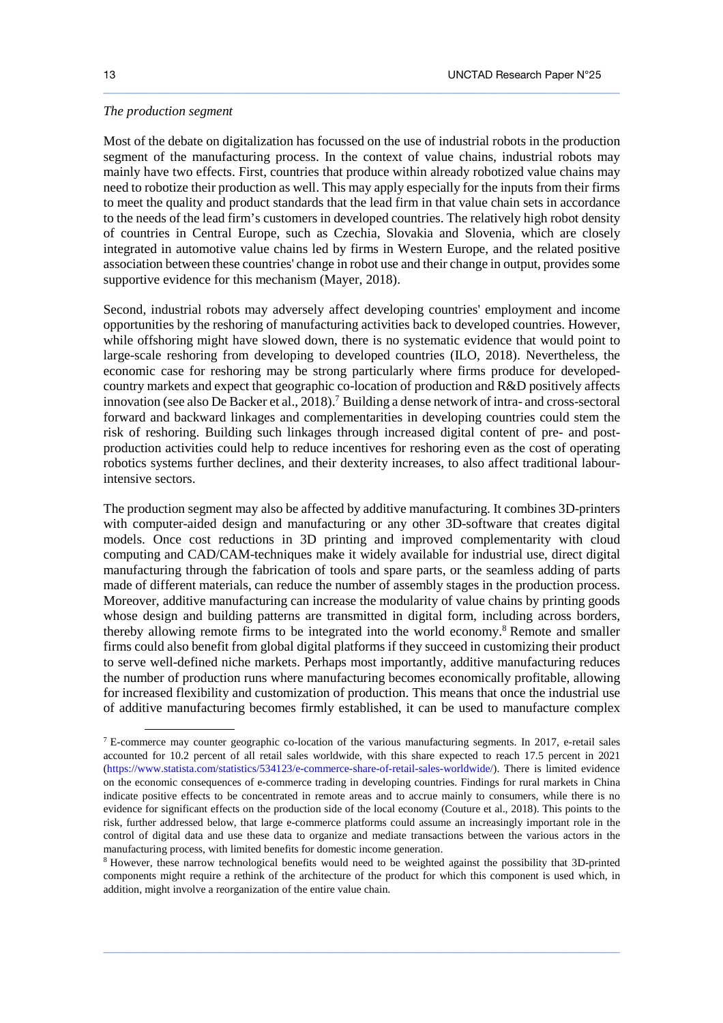#### *The production segment*

 $\ddot{\phantom{a}}$ 

Most of the debate on digitalization has focussed on the use of industrial robots in the production segment of the manufacturing process. In the context of value chains, industrial robots may mainly have two effects. First, countries that produce within already robotized value chains may need to robotize their production as well. This may apply especially for the inputs from their firms to meet the quality and product standards that the lead firm in that value chain sets in accordance to the needs of the lead firm's customers in developed countries. The relatively high robot density of countries in Central Europe, such as Czechia, Slovakia and Slovenia, which are closely integrated in automotive value chains led by firms in Western Europe, and the related positive association between these countries' change in robot use and their change in output, provides some supportive evidence for this mechanism (Mayer, 2018).

 $\_$  ,  $\_$  ,  $\_$  ,  $\_$  ,  $\_$  ,  $\_$  ,  $\_$  ,  $\_$  ,  $\_$  ,  $\_$  ,  $\_$  ,  $\_$  ,  $\_$  ,  $\_$  ,  $\_$  ,  $\_$  ,  $\_$  ,  $\_$  ,  $\_$  ,  $\_$  ,  $\_$  ,  $\_$  ,  $\_$  ,  $\_$  ,  $\_$  ,  $\_$  ,  $\_$  ,  $\_$  ,  $\_$  ,  $\_$  ,  $\_$  ,  $\_$  ,  $\_$  ,  $\_$  ,  $\_$  ,  $\_$  ,  $\_$  ,

Second, industrial robots may adversely affect developing countries' employment and income opportunities by the reshoring of manufacturing activities back to developed countries. However, while offshoring might have slowed down, there is no systematic evidence that would point to large-scale reshoring from developing to developed countries (ILO, 2018). Nevertheless, the economic case for reshoring may be strong particularly where firms produce for developedcountry markets and expect that geographic co-location of production and R&D positively affects innovation (see also De Backer et al., 2018).<sup>7</sup> Building a dense network of intra- and cross-sectoral forward and backward linkages and complementarities in developing countries could stem the risk of reshoring. Building such linkages through increased digital content of pre- and postproduction activities could help to reduce incentives for reshoring even as the cost of operating robotics systems further declines, and their dexterity increases, to also affect traditional labourintensive sectors.

The production segment may also be affected by additive manufacturing. It combines 3D-printers with computer-aided design and manufacturing or any other 3D-software that creates digital models. Once cost reductions in 3D printing and improved complementarity with cloud computing and CAD/CAM-techniques make it widely available for industrial use, direct digital manufacturing through the fabrication of tools and spare parts, or the seamless adding of parts made of different materials, can reduce the number of assembly stages in the production process. Moreover, additive manufacturing can increase the modularity of value chains by printing goods whose design and building patterns are transmitted in digital form, including across borders, thereby allowing remote firms to be integrated into the world economy.<sup>8</sup> Remote and smaller firms could also benefit from global digital platforms if they succeed in customizing their product to serve well-defined niche markets. Perhaps most importantly, additive manufacturing reduces the number of production runs where manufacturing becomes economically profitable, allowing for increased flexibility and customization of production. This means that once the industrial use of additive manufacturing becomes firmly established, it can be used to manufacture complex

<sup>&</sup>lt;sup>7</sup> E-commerce may counter geographic co-location of the various manufacturing segments. In 2017, e-retail sales accounted for 10.2 percent of all retail sales worldwide, with this share expected to reach 17.5 percent in 2021 (https://www.statista.com/statistics/534123/e-commerce-share-of-retail-sales-worldwide/). There is limited evidence on the economic consequences of e-commerce trading in developing countries. Findings for rural markets in China indicate positive effects to be concentrated in remote areas and to accrue mainly to consumers, while there is no evidence for significant effects on the production side of the local economy (Couture et al., 2018). This points to the risk, further addressed below, that large e-commerce platforms could assume an increasingly important role in the control of digital data and use these data to organize and mediate transactions between the various actors in the manufacturing process, with limited benefits for domestic income generation.

<sup>&</sup>lt;sup>8</sup> However, these narrow technological benefits would need to be weighted against the possibility that 3D-printed components might require a rethink of the architecture of the product for which this component is used which, in addition, might involve a reorganization of the entire value chain.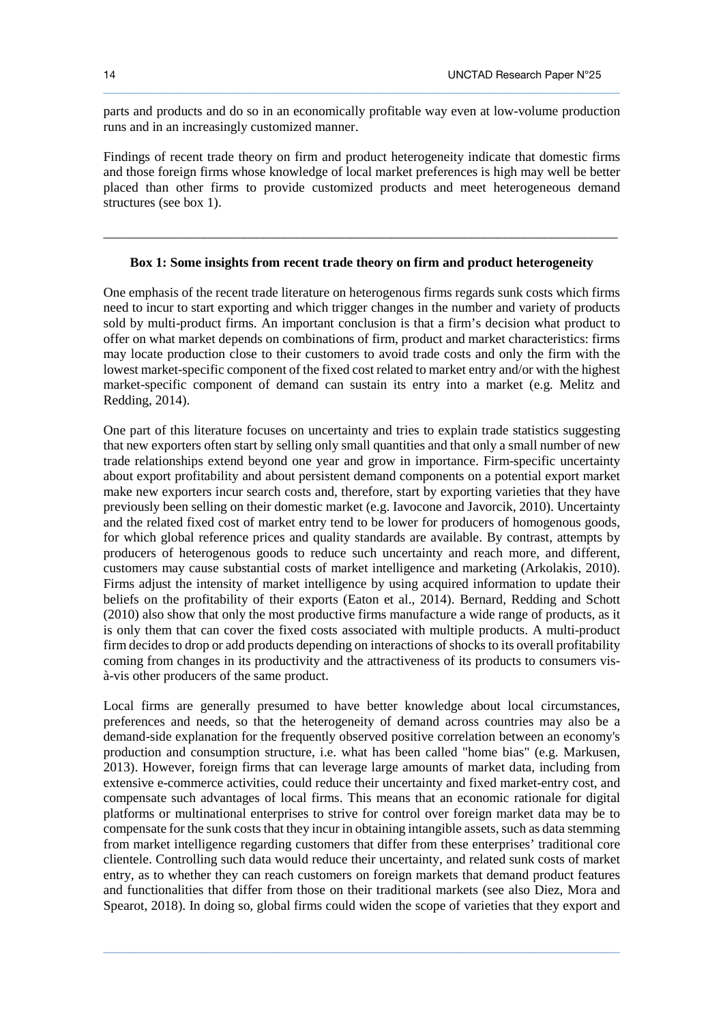parts and products and do so in an economically profitable way even at low-volume production runs and in an increasingly customized manner.

 $\_$  ,  $\_$  ,  $\_$  ,  $\_$  ,  $\_$  ,  $\_$  ,  $\_$  ,  $\_$  ,  $\_$  ,  $\_$  ,  $\_$  ,  $\_$  ,  $\_$  ,  $\_$  ,  $\_$  ,  $\_$  ,  $\_$  ,  $\_$  ,  $\_$  ,  $\_$  ,  $\_$  ,  $\_$  ,  $\_$  ,  $\_$  ,  $\_$  ,  $\_$  ,  $\_$  ,  $\_$  ,  $\_$  ,  $\_$  ,  $\_$  ,  $\_$  ,  $\_$  ,  $\_$  ,  $\_$  ,  $\_$  ,  $\_$  ,

Findings of recent trade theory on firm and product heterogeneity indicate that domestic firms and those foreign firms whose knowledge of local market preferences is high may well be better placed than other firms to provide customized products and meet heterogeneous demand structures (see box 1).

### **Box 1: Some insights from recent trade theory on firm and product heterogeneity**

\_\_\_\_\_\_\_\_\_\_\_\_\_\_\_\_\_\_\_\_\_\_\_\_\_\_\_\_\_\_\_\_\_\_\_\_\_\_\_\_\_\_\_\_\_\_\_\_\_\_\_\_\_\_\_\_\_\_\_\_\_\_\_\_\_\_\_\_\_\_\_\_\_\_\_\_\_

One emphasis of the recent trade literature on heterogenous firms regards sunk costs which firms need to incur to start exporting and which trigger changes in the number and variety of products sold by multi-product firms. An important conclusion is that a firm's decision what product to offer on what market depends on combinations of firm, product and market characteristics: firms may locate production close to their customers to avoid trade costs and only the firm with the lowest market-specific component of the fixed cost related to market entry and/or with the highest market-specific component of demand can sustain its entry into a market (e.g. Melitz and Redding, 2014).

One part of this literature focuses on uncertainty and tries to explain trade statistics suggesting that new exporters often start by selling only small quantities and that only a small number of new trade relationships extend beyond one year and grow in importance. Firm-specific uncertainty about export profitability and about persistent demand components on a potential export market make new exporters incur search costs and, therefore, start by exporting varieties that they have previously been selling on their domestic market (e.g. Iavocone and Javorcik, 2010). Uncertainty and the related fixed cost of market entry tend to be lower for producers of homogenous goods, for which global reference prices and quality standards are available. By contrast, attempts by producers of heterogenous goods to reduce such uncertainty and reach more, and different, customers may cause substantial costs of market intelligence and marketing (Arkolakis, 2010). Firms adjust the intensity of market intelligence by using acquired information to update their beliefs on the profitability of their exports (Eaton et al., 2014). Bernard, Redding and Schott (2010) also show that only the most productive firms manufacture a wide range of products, as it is only them that can cover the fixed costs associated with multiple products. A multi-product firm decides to drop or add products depending on interactions of shocks to its overall profitability coming from changes in its productivity and the attractiveness of its products to consumers visà-vis other producers of the same product.

Local firms are generally presumed to have better knowledge about local circumstances, preferences and needs, so that the heterogeneity of demand across countries may also be a demand-side explanation for the frequently observed positive correlation between an economy's production and consumption structure, i.e. what has been called "home bias" (e.g. Markusen, 2013). However, foreign firms that can leverage large amounts of market data, including from extensive e-commerce activities, could reduce their uncertainty and fixed market-entry cost, and compensate such advantages of local firms. This means that an economic rationale for digital platforms or multinational enterprises to strive for control over foreign market data may be to compensate for the sunk costs that they incur in obtaining intangible assets, such as data stemming from market intelligence regarding customers that differ from these enterprises' traditional core clientele. Controlling such data would reduce their uncertainty, and related sunk costs of market entry, as to whether they can reach customers on foreign markets that demand product features and functionalities that differ from those on their traditional markets (see also Diez, Mora and Spearot, 2018). In doing so, global firms could widen the scope of varieties that they export and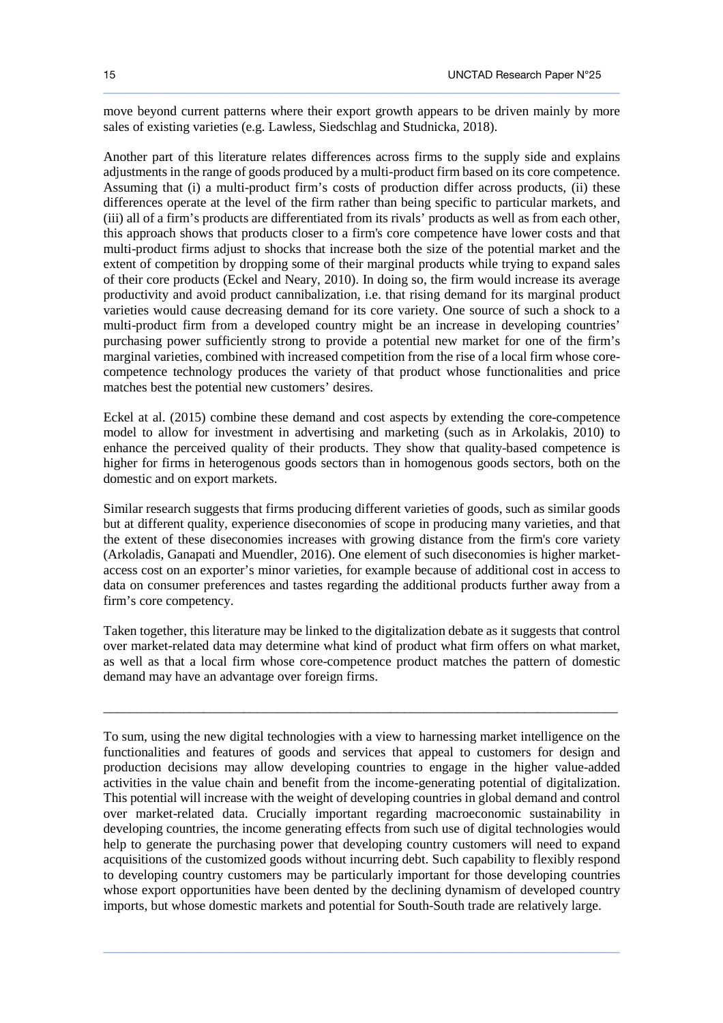move beyond current patterns where their export growth appears to be driven mainly by more sales of existing varieties (e.g. Lawless, Siedschlag and Studnicka, 2018).

 $\_$  ,  $\_$  ,  $\_$  ,  $\_$  ,  $\_$  ,  $\_$  ,  $\_$  ,  $\_$  ,  $\_$  ,  $\_$  ,  $\_$  ,  $\_$  ,  $\_$  ,  $\_$  ,  $\_$  ,  $\_$  ,  $\_$  ,  $\_$  ,  $\_$  ,  $\_$  ,  $\_$  ,  $\_$  ,  $\_$  ,  $\_$  ,  $\_$  ,  $\_$  ,  $\_$  ,  $\_$  ,  $\_$  ,  $\_$  ,  $\_$  ,  $\_$  ,  $\_$  ,  $\_$  ,  $\_$  ,  $\_$  ,  $\_$  ,

Another part of this literature relates differences across firms to the supply side and explains adjustments in the range of goods produced by a multi-product firm based on its core competence. Assuming that (i) a multi-product firm's costs of production differ across products, (ii) these differences operate at the level of the firm rather than being specific to particular markets, and (iii) all of a firm's products are differentiated from its rivals' products as well as from each other, this approach shows that products closer to a firm's core competence have lower costs and that multi-product firms adjust to shocks that increase both the size of the potential market and the extent of competition by dropping some of their marginal products while trying to expand sales of their core products (Eckel and Neary, 2010). In doing so, the firm would increase its average productivity and avoid product cannibalization, i.e. that rising demand for its marginal product varieties would cause decreasing demand for its core variety. One source of such a shock to a multi-product firm from a developed country might be an increase in developing countries' purchasing power sufficiently strong to provide a potential new market for one of the firm's marginal varieties, combined with increased competition from the rise of a local firm whose corecompetence technology produces the variety of that product whose functionalities and price matches best the potential new customers' desires.

Eckel at al. (2015) combine these demand and cost aspects by extending the core-competence model to allow for investment in advertising and marketing (such as in Arkolakis, 2010) to enhance the perceived quality of their products. They show that quality-based competence is higher for firms in heterogenous goods sectors than in homogenous goods sectors, both on the domestic and on export markets.

Similar research suggests that firms producing different varieties of goods, such as similar goods but at different quality, experience diseconomies of scope in producing many varieties, and that the extent of these diseconomies increases with growing distance from the firm's core variety (Arkoladis, Ganapati and Muendler, 2016). One element of such diseconomies is higher marketaccess cost on an exporter's minor varieties, for example because of additional cost in access to data on consumer preferences and tastes regarding the additional products further away from a firm's core competency.

Taken together, this literature may be linked to the digitalization debate as it suggests that control over market-related data may determine what kind of product what firm offers on what market, as well as that a local firm whose core-competence product matches the pattern of domestic demand may have an advantage over foreign firms.

\_\_\_\_\_\_\_\_\_\_\_\_\_\_\_\_\_\_\_\_\_\_\_\_\_\_\_\_\_\_\_\_\_\_\_\_\_\_\_\_\_\_\_\_\_\_\_\_\_\_\_\_\_\_\_\_\_\_\_\_\_\_\_\_\_\_\_\_\_\_\_\_\_\_\_\_\_

To sum, using the new digital technologies with a view to harnessing market intelligence on the functionalities and features of goods and services that appeal to customers for design and production decisions may allow developing countries to engage in the higher value-added activities in the value chain and benefit from the income-generating potential of digitalization. This potential will increase with the weight of developing countries in global demand and control over market-related data. Crucially important regarding macroeconomic sustainability in developing countries, the income generating effects from such use of digital technologies would help to generate the purchasing power that developing country customers will need to expand acquisitions of the customized goods without incurring debt. Such capability to flexibly respond to developing country customers may be particularly important for those developing countries whose export opportunities have been dented by the declining dynamism of developed country imports, but whose domestic markets and potential for South-South trade are relatively large.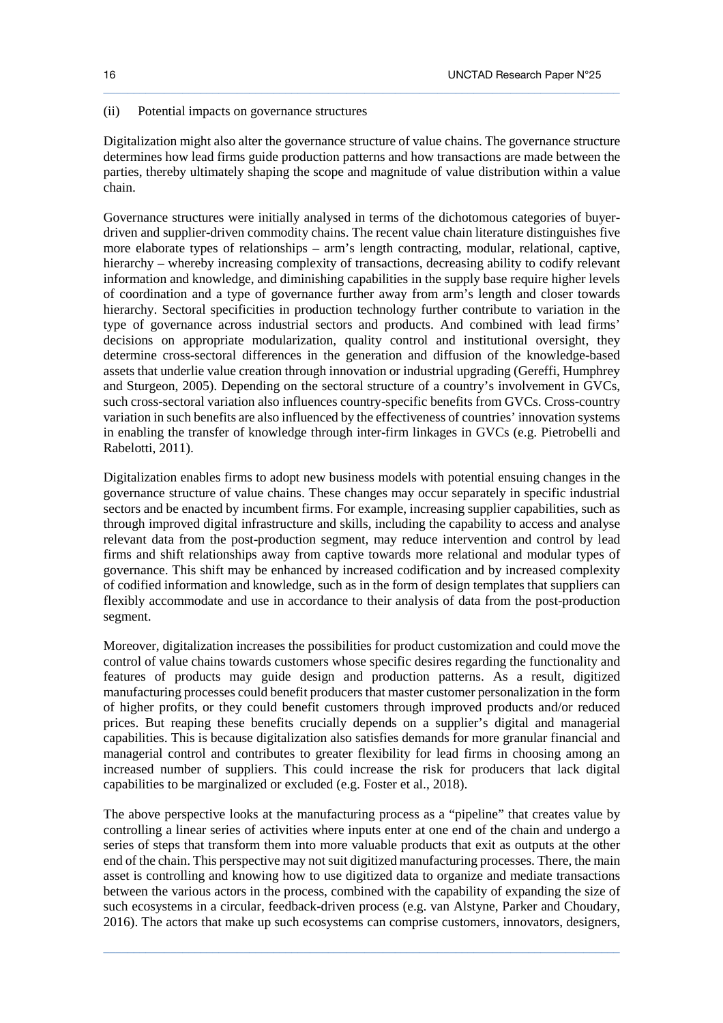#### (ii) Potential impacts on governance structures

Digitalization might also alter the governance structure of value chains. The governance structure determines how lead firms guide production patterns and how transactions are made between the parties, thereby ultimately shaping the scope and magnitude of value distribution within a value chain.

 $\_$  ,  $\_$  ,  $\_$  ,  $\_$  ,  $\_$  ,  $\_$  ,  $\_$  ,  $\_$  ,  $\_$  ,  $\_$  ,  $\_$  ,  $\_$  ,  $\_$  ,  $\_$  ,  $\_$  ,  $\_$  ,  $\_$  ,  $\_$  ,  $\_$  ,  $\_$  ,  $\_$  ,  $\_$  ,  $\_$  ,  $\_$  ,  $\_$  ,  $\_$  ,  $\_$  ,  $\_$  ,  $\_$  ,  $\_$  ,  $\_$  ,  $\_$  ,  $\_$  ,  $\_$  ,  $\_$  ,  $\_$  ,  $\_$  ,

Governance structures were initially analysed in terms of the dichotomous categories of buyerdriven and supplier-driven commodity chains. The recent value chain literature distinguishes five more elaborate types of relationships – arm's length contracting, modular, relational, captive, hierarchy – whereby increasing complexity of transactions, decreasing ability to codify relevant information and knowledge, and diminishing capabilities in the supply base require higher levels of coordination and a type of governance further away from arm's length and closer towards hierarchy. Sectoral specificities in production technology further contribute to variation in the type of governance across industrial sectors and products. And combined with lead firms' decisions on appropriate modularization, quality control and institutional oversight, they determine cross-sectoral differences in the generation and diffusion of the knowledge-based assets that underlie value creation through innovation or industrial upgrading (Gereffi, Humphrey and Sturgeon, 2005). Depending on the sectoral structure of a country's involvement in GVCs, such cross-sectoral variation also influences country-specific benefits from GVCs. Cross-country variation in such benefits are also influenced by the effectiveness of countries' innovation systems in enabling the transfer of knowledge through inter-firm linkages in GVCs (e.g. Pietrobelli and Rabelotti, 2011).

Digitalization enables firms to adopt new business models with potential ensuing changes in the governance structure of value chains. These changes may occur separately in specific industrial sectors and be enacted by incumbent firms. For example, increasing supplier capabilities, such as through improved digital infrastructure and skills, including the capability to access and analyse relevant data from the post-production segment, may reduce intervention and control by lead firms and shift relationships away from captive towards more relational and modular types of governance. This shift may be enhanced by increased codification and by increased complexity of codified information and knowledge, such as in the form of design templates that suppliers can flexibly accommodate and use in accordance to their analysis of data from the post-production segment.

Moreover, digitalization increases the possibilities for product customization and could move the control of value chains towards customers whose specific desires regarding the functionality and features of products may guide design and production patterns. As a result, digitized manufacturing processes could benefit producers that master customer personalization in the form of higher profits, or they could benefit customers through improved products and/or reduced prices. But reaping these benefits crucially depends on a supplier's digital and managerial capabilities. This is because digitalization also satisfies demands for more granular financial and managerial control and contributes to greater flexibility for lead firms in choosing among an increased number of suppliers. This could increase the risk for producers that lack digital capabilities to be marginalized or excluded (e.g. Foster et al., 2018).

The above perspective looks at the manufacturing process as a "pipeline" that creates value by controlling a linear series of activities where inputs enter at one end of the chain and undergo a series of steps that transform them into more valuable products that exit as outputs at the other end of the chain. This perspective may not suit digitized manufacturing processes. There, the main asset is controlling and knowing how to use digitized data to organize and mediate transactions between the various actors in the process, combined with the capability of expanding the size of such ecosystems in a circular, feedback-driven process (e.g. van Alstyne, Parker and Choudary, 2016). The actors that make up such ecosystems can comprise customers, innovators, designers,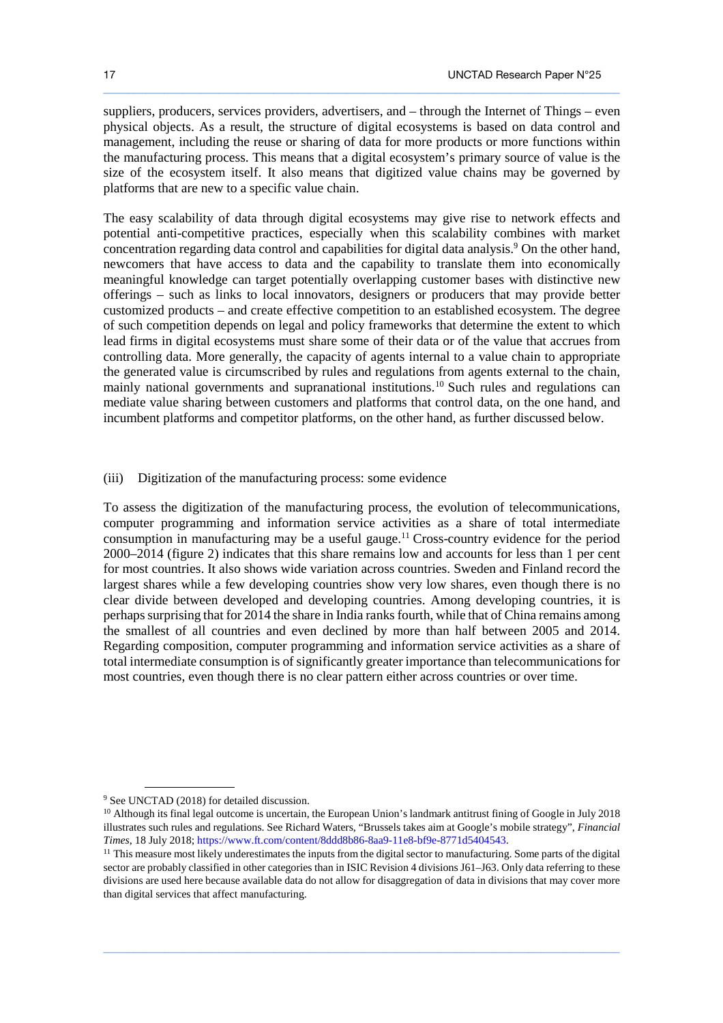suppliers, producers, services providers, advertisers, and – through the Internet of Things – even physical objects. As a result, the structure of digital ecosystems is based on data control and management, including the reuse or sharing of data for more products or more functions within the manufacturing process. This means that a digital ecosystem's primary source of value is the size of the ecosystem itself. It also means that digitized value chains may be governed by platforms that are new to a specific value chain.

 $\_$  ,  $\_$  ,  $\_$  ,  $\_$  ,  $\_$  ,  $\_$  ,  $\_$  ,  $\_$  ,  $\_$  ,  $\_$  ,  $\_$  ,  $\_$  ,  $\_$  ,  $\_$  ,  $\_$  ,  $\_$  ,  $\_$  ,  $\_$  ,  $\_$  ,  $\_$  ,  $\_$  ,  $\_$  ,  $\_$  ,  $\_$  ,  $\_$  ,  $\_$  ,  $\_$  ,  $\_$  ,  $\_$  ,  $\_$  ,  $\_$  ,  $\_$  ,  $\_$  ,  $\_$  ,  $\_$  ,  $\_$  ,  $\_$  ,

The easy scalability of data through digital ecosystems may give rise to network effects and potential anti-competitive practices, especially when this scalability combines with market concentration regarding data control and capabilities for digital data analysis.<sup>9</sup> On the other hand, newcomers that have access to data and the capability to translate them into economically meaningful knowledge can target potentially overlapping customer bases with distinctive new offerings – such as links to local innovators, designers or producers that may provide better customized products – and create effective competition to an established ecosystem. The degree of such competition depends on legal and policy frameworks that determine the extent to which lead firms in digital ecosystems must share some of their data or of the value that accrues from controlling data. More generally, the capacity of agents internal to a value chain to appropriate the generated value is circumscribed by rules and regulations from agents external to the chain, mainly national governments and supranational institutions.<sup>10</sup> Such rules and regulations can mediate value sharing between customers and platforms that control data, on the one hand, and incumbent platforms and competitor platforms, on the other hand, as further discussed below.

#### (iii) Digitization of the manufacturing process: some evidence

To assess the digitization of the manufacturing process, the evolution of telecommunications, computer programming and information service activities as a share of total intermediate consumption in manufacturing may be a useful gauge.<sup>11</sup> Cross-country evidence for the period 2000–2014 (figure 2) indicates that this share remains low and accounts for less than 1 per cent for most countries. It also shows wide variation across countries. Sweden and Finland record the largest shares while a few developing countries show very low shares, even though there is no clear divide between developed and developing countries. Among developing countries, it is perhaps surprising that for 2014 the share in India ranks fourth, while that of China remains among the smallest of all countries and even declined by more than half between 2005 and 2014. Regarding composition, computer programming and information service activities as a share of total intermediate consumption is of significantly greater importance than telecommunications for most countries, even though there is no clear pattern either across countries or over time.

 $\ddot{\phantom{a}}$ 

<sup>9</sup> See UNCTAD (2018) for detailed discussion.

<sup>&</sup>lt;sup>10</sup> Although its final legal outcome is uncertain, the European Union's landmark antitrust fining of Google in July 2018 illustrates such rules and regulations. See Richard Waters, "Brussels takes aim at Google's mobile strategy", *Financial Times*, 18 July 2018; https://www.ft.com/content/8ddd8b86-8aa9-11e8-bf9e-8771d5404543.

<sup>&</sup>lt;sup>11</sup> This measure most likely underestimates the inputs from the digital sector to manufacturing. Some parts of the digital sector are probably classified in other categories than in ISIC Revision 4 divisions J61–J63. Only data referring to these divisions are used here because available data do not allow for disaggregation of data in divisions that may cover more than digital services that affect manufacturing.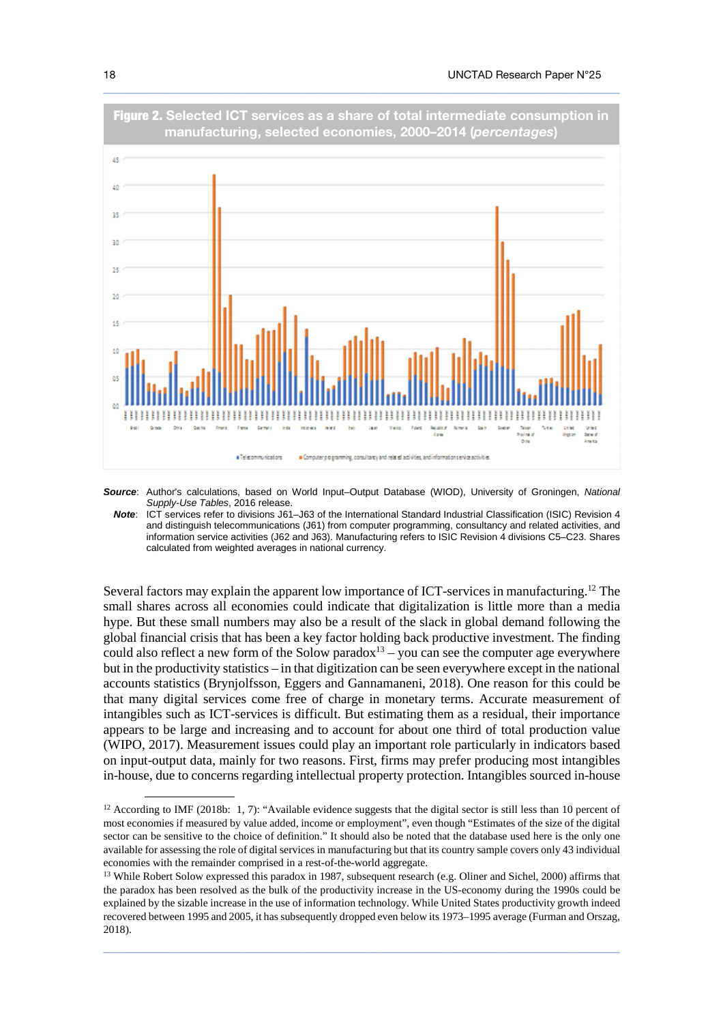

**Source**: Author's calculations, based on World Input–Output Database (WIOD), University of Groningen, National Supply-Use Tables, 2016 release.

**Note**: ICT services refer to divisions J61–J63 of the International Standard Industrial Classification (ISIC) Revision 4 and distinguish telecommunications (J61) from computer programming, consultancy and related activities, and information service activities (J62 and J63). Manufacturing refers to ISIC Revision 4 divisions C5–C23. Shares calculated from weighted averages in national currency.

Several factors may explain the apparent low importance of ICT-services in manufacturing.<sup>12</sup> The small shares across all economies could indicate that digitalization is little more than a media hype. But these small numbers may also be a result of the slack in global demand following the global financial crisis that has been a key factor holding back productive investment. The finding could also reflect a new form of the Solow paradox<sup>13</sup> – you can see the computer age everywhere but in the productivity statistics – in that digitization can be seen everywhere except in the national accounts statistics (Brynjolfsson, Eggers and Gannamaneni, 2018). One reason for this could be that many digital services come free of charge in monetary terms. Accurate measurement of intangibles such as ICT-services is difficult. But estimating them as a residual, their importance appears to be large and increasing and to account for about one third of total production value (WIPO, 2017). Measurement issues could play an important role particularly in indicators based on input-output data, mainly for two reasons. First, firms may prefer producing most intangibles in-house, due to concerns regarding intellectual property protection. Intangibles sourced in-house

 $\_$  ,  $\_$  ,  $\_$  ,  $\_$  ,  $\_$  ,  $\_$  ,  $\_$  ,  $\_$  ,  $\_$  ,  $\_$  ,  $\_$  ,  $\_$  ,  $\_$  ,  $\_$  ,  $\_$  ,  $\_$  ,  $\_$  ,  $\_$  ,  $\_$  ,  $\_$  ,  $\_$  ,  $\_$  ,  $\_$  ,  $\_$  ,  $\_$  ,  $\_$  ,  $\_$  ,  $\_$  ,  $\_$  ,  $\_$  ,  $\_$  ,  $\_$  ,  $\_$  ,  $\_$  ,  $\_$  ,  $\_$  ,  $\_$  ,

 $\ddot{\phantom{a}}$ 

<sup>&</sup>lt;sup>12</sup> According to IMF (2018b: 1, 7): "Available evidence suggests that the digital sector is still less than 10 percent of most economies if measured by value added, income or employment", even though "Estimates of the size of the digital sector can be sensitive to the choice of definition." It should also be noted that the database used here is the only one available for assessing the role of digital services in manufacturing but that its country sample covers only 43 individual economies with the remainder comprised in a rest-of-the-world aggregate.

<sup>&</sup>lt;sup>13</sup> While Robert Solow expressed this paradox in 1987, subsequent research (e.g. Oliner and Sichel, 2000) affirms that the paradox has been resolved as the bulk of the productivity increase in the US-economy during the 1990s could be explained by the sizable increase in the use of information technology. While United States productivity growth indeed recovered between 1995 and 2005, it has subsequently dropped even below its 1973–1995 average (Furman and Orszag, 2018).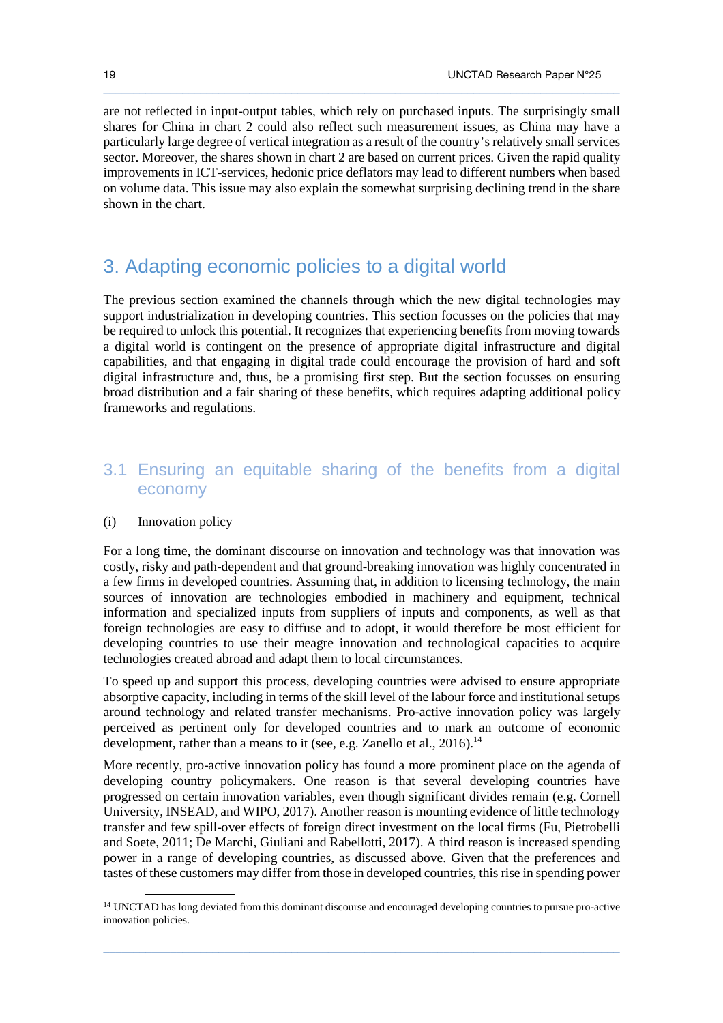are not reflected in input-output tables, which rely on purchased inputs. The surprisingly small shares for China in chart 2 could also reflect such measurement issues, as China may have a particularly large degree of vertical integration as a result of the country's relatively small services sector. Moreover, the shares shown in chart 2 are based on current prices. Given the rapid quality improvements in ICT-services, hedonic price deflators may lead to different numbers when based on volume data. This issue may also explain the somewhat surprising declining trend in the share shown in the chart.

 $\_$  ,  $\_$  ,  $\_$  ,  $\_$  ,  $\_$  ,  $\_$  ,  $\_$  ,  $\_$  ,  $\_$  ,  $\_$  ,  $\_$  ,  $\_$  ,  $\_$  ,  $\_$  ,  $\_$  ,  $\_$  ,  $\_$  ,  $\_$  ,  $\_$  ,  $\_$  ,  $\_$  ,  $\_$  ,  $\_$  ,  $\_$  ,  $\_$  ,  $\_$  ,  $\_$  ,  $\_$  ,  $\_$  ,  $\_$  ,  $\_$  ,  $\_$  ,  $\_$  ,  $\_$  ,  $\_$  ,  $\_$  ,  $\_$  ,

# 3. Adapting economic policies to a digital world

The previous section examined the channels through which the new digital technologies may support industrialization in developing countries. This section focusses on the policies that may be required to unlock this potential. It recognizes that experiencing benefits from moving towards a digital world is contingent on the presence of appropriate digital infrastructure and digital capabilities, and that engaging in digital trade could encourage the provision of hard and soft digital infrastructure and, thus, be a promising first step. But the section focusses on ensuring broad distribution and a fair sharing of these benefits, which requires adapting additional policy frameworks and regulations.

# 3.1 Ensuring an equitable sharing of the benefits from a digital economy

#### (i) Innovation policy

 $\ddot{\phantom{a}}$ 

For a long time, the dominant discourse on innovation and technology was that innovation was costly, risky and path-dependent and that ground-breaking innovation was highly concentrated in a few firms in developed countries. Assuming that, in addition to licensing technology, the main sources of innovation are technologies embodied in machinery and equipment, technical information and specialized inputs from suppliers of inputs and components, as well as that foreign technologies are easy to diffuse and to adopt, it would therefore be most efficient for developing countries to use their meagre innovation and technological capacities to acquire technologies created abroad and adapt them to local circumstances.

To speed up and support this process, developing countries were advised to ensure appropriate absorptive capacity, including in terms of the skill level of the labour force and institutional setups around technology and related transfer mechanisms. Pro-active innovation policy was largely perceived as pertinent only for developed countries and to mark an outcome of economic development, rather than a means to it (see, e.g. Zanello et al., 2016).<sup>14</sup>

More recently, pro-active innovation policy has found a more prominent place on the agenda of developing country policymakers. One reason is that several developing countries have progressed on certain innovation variables, even though significant divides remain (e.g. Cornell University, INSEAD, and WIPO, 2017). Another reason is mounting evidence of little technology transfer and few spill-over effects of foreign direct investment on the local firms (Fu, Pietrobelli and Soete, 2011; De Marchi, Giuliani and Rabellotti, 2017). A third reason is increased spending power in a range of developing countries, as discussed above. Given that the preferences and tastes of these customers may differ from those in developed countries, this rise in spending power

<sup>&</sup>lt;sup>14</sup> UNCTAD has long deviated from this dominant discourse and encouraged developing countries to pursue pro-active innovation policies.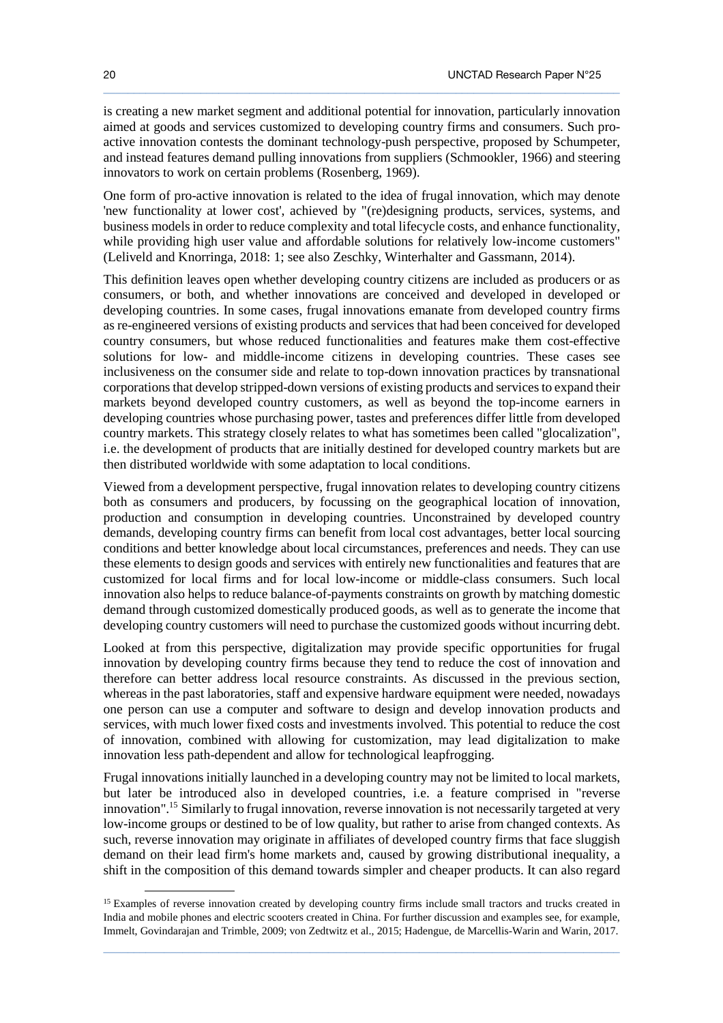is creating a new market segment and additional potential for innovation, particularly innovation aimed at goods and services customized to developing country firms and consumers. Such proactive innovation contests the dominant technology-push perspective, proposed by Schumpeter, and instead features demand pulling innovations from suppliers (Schmookler, 1966) and steering innovators to work on certain problems (Rosenberg, 1969).

 $\_$  ,  $\_$  ,  $\_$  ,  $\_$  ,  $\_$  ,  $\_$  ,  $\_$  ,  $\_$  ,  $\_$  ,  $\_$  ,  $\_$  ,  $\_$  ,  $\_$  ,  $\_$  ,  $\_$  ,  $\_$  ,  $\_$  ,  $\_$  ,  $\_$  ,  $\_$  ,  $\_$  ,  $\_$  ,  $\_$  ,  $\_$  ,  $\_$  ,  $\_$  ,  $\_$  ,  $\_$  ,  $\_$  ,  $\_$  ,  $\_$  ,  $\_$  ,  $\_$  ,  $\_$  ,  $\_$  ,  $\_$  ,  $\_$  ,

One form of pro-active innovation is related to the idea of frugal innovation, which may denote 'new functionality at lower cost', achieved by "(re)designing products, services, systems, and business models in order to reduce complexity and total lifecycle costs, and enhance functionality, while providing high user value and affordable solutions for relatively low-income customers" (Leliveld and Knorringa, 2018: 1; see also Zeschky, Winterhalter and Gassmann, 2014).

This definition leaves open whether developing country citizens are included as producers or as consumers, or both, and whether innovations are conceived and developed in developed or developing countries. In some cases, frugal innovations emanate from developed country firms as re-engineered versions of existing products and services that had been conceived for developed country consumers, but whose reduced functionalities and features make them cost-effective solutions for low- and middle-income citizens in developing countries. These cases see inclusiveness on the consumer side and relate to top-down innovation practices by transnational corporations that develop stripped-down versions of existing products and services to expand their markets beyond developed country customers, as well as beyond the top-income earners in developing countries whose purchasing power, tastes and preferences differ little from developed country markets. This strategy closely relates to what has sometimes been called "glocalization", i.e. the development of products that are initially destined for developed country markets but are then distributed worldwide with some adaptation to local conditions.

Viewed from a development perspective, frugal innovation relates to developing country citizens both as consumers and producers, by focussing on the geographical location of innovation, production and consumption in developing countries. Unconstrained by developed country demands, developing country firms can benefit from local cost advantages, better local sourcing conditions and better knowledge about local circumstances, preferences and needs. They can use these elements to design goods and services with entirely new functionalities and features that are customized for local firms and for local low-income or middle-class consumers. Such local innovation also helps to reduce balance-of-payments constraints on growth by matching domestic demand through customized domestically produced goods, as well as to generate the income that developing country customers will need to purchase the customized goods without incurring debt.

Looked at from this perspective, digitalization may provide specific opportunities for frugal innovation by developing country firms because they tend to reduce the cost of innovation and therefore can better address local resource constraints. As discussed in the previous section, whereas in the past laboratories, staff and expensive hardware equipment were needed, nowadays one person can use a computer and software to design and develop innovation products and services, with much lower fixed costs and investments involved. This potential to reduce the cost of innovation, combined with allowing for customization, may lead digitalization to make innovation less path-dependent and allow for technological leapfrogging.

Frugal innovations initially launched in a developing country may not be limited to local markets, but later be introduced also in developed countries, i.e. a feature comprised in "reverse innovation".<sup>15</sup> Similarly to frugal innovation, reverse innovation is not necessarily targeted at very low-income groups or destined to be of low quality, but rather to arise from changed contexts. As such, reverse innovation may originate in affiliates of developed country firms that face sluggish demand on their lead firm's home markets and, caused by growing distributional inequality, a shift in the composition of this demand towards simpler and cheaper products. It can also regard

 $\_$  ,  $\_$  ,  $\_$  ,  $\_$  ,  $\_$  ,  $\_$  ,  $\_$  ,  $\_$  ,  $\_$  ,  $\_$  ,  $\_$  ,  $\_$  ,  $\_$  ,  $\_$  ,  $\_$  ,  $\_$  ,  $\_$  ,  $\_$  ,  $\_$  ,  $\_$  ,  $\_$  ,  $\_$  ,  $\_$  ,  $\_$  ,  $\_$  ,  $\_$  ,  $\_$  ,  $\_$  ,  $\_$  ,  $\_$  ,  $\_$  ,  $\_$  ,  $\_$  ,  $\_$  ,  $\_$  ,  $\_$  ,  $\_$  ,

 $\ddot{\phantom{a}}$ 

<sup>&</sup>lt;sup>15</sup> Examples of reverse innovation created by developing country firms include small tractors and trucks created in India and mobile phones and electric scooters created in China. For further discussion and examples see, for example, Immelt, Govindarajan and Trimble, 2009; von Zedtwitz et al., 2015; Hadengue, de Marcellis-Warin and Warin, 2017.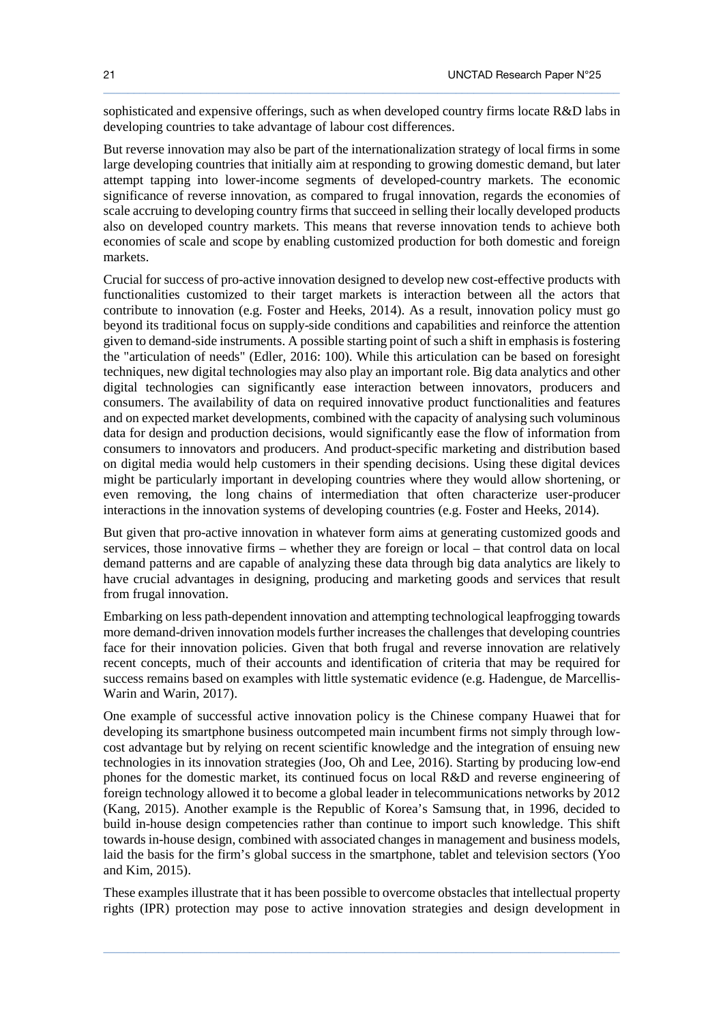sophisticated and expensive offerings, such as when developed country firms locate R&D labs in developing countries to take advantage of labour cost differences.

 $\_$  ,  $\_$  ,  $\_$  ,  $\_$  ,  $\_$  ,  $\_$  ,  $\_$  ,  $\_$  ,  $\_$  ,  $\_$  ,  $\_$  ,  $\_$  ,  $\_$  ,  $\_$  ,  $\_$  ,  $\_$  ,  $\_$  ,  $\_$  ,  $\_$  ,  $\_$  ,  $\_$  ,  $\_$  ,  $\_$  ,  $\_$  ,  $\_$  ,  $\_$  ,  $\_$  ,  $\_$  ,  $\_$  ,  $\_$  ,  $\_$  ,  $\_$  ,  $\_$  ,  $\_$  ,  $\_$  ,  $\_$  ,  $\_$  ,

But reverse innovation may also be part of the internationalization strategy of local firms in some large developing countries that initially aim at responding to growing domestic demand, but later attempt tapping into lower-income segments of developed-country markets. The economic significance of reverse innovation, as compared to frugal innovation, regards the economies of scale accruing to developing country firms that succeed in selling their locally developed products also on developed country markets. This means that reverse innovation tends to achieve both economies of scale and scope by enabling customized production for both domestic and foreign markets.

Crucial for success of pro-active innovation designed to develop new cost-effective products with functionalities customized to their target markets is interaction between all the actors that contribute to innovation (e.g. Foster and Heeks, 2014). As a result, innovation policy must go beyond its traditional focus on supply-side conditions and capabilities and reinforce the attention given to demand-side instruments. A possible starting point of such a shift in emphasis is fostering the "articulation of needs" (Edler, 2016: 100). While this articulation can be based on foresight techniques, new digital technologies may also play an important role. Big data analytics and other digital technologies can significantly ease interaction between innovators, producers and consumers. The availability of data on required innovative product functionalities and features and on expected market developments, combined with the capacity of analysing such voluminous data for design and production decisions, would significantly ease the flow of information from consumers to innovators and producers. And product-specific marketing and distribution based on digital media would help customers in their spending decisions. Using these digital devices might be particularly important in developing countries where they would allow shortening, or even removing, the long chains of intermediation that often characterize user-producer interactions in the innovation systems of developing countries (e.g. Foster and Heeks, 2014).

But given that pro-active innovation in whatever form aims at generating customized goods and services, those innovative firms – whether they are foreign or local – that control data on local demand patterns and are capable of analyzing these data through big data analytics are likely to have crucial advantages in designing, producing and marketing goods and services that result from frugal innovation.

Embarking on less path-dependent innovation and attempting technological leapfrogging towards more demand-driven innovation models further increases the challenges that developing countries face for their innovation policies. Given that both frugal and reverse innovation are relatively recent concepts, much of their accounts and identification of criteria that may be required for success remains based on examples with little systematic evidence (e.g. Hadengue, de Marcellis-Warin and Warin, 2017).

One example of successful active innovation policy is the Chinese company Huawei that for developing its smartphone business outcompeted main incumbent firms not simply through lowcost advantage but by relying on recent scientific knowledge and the integration of ensuing new technologies in its innovation strategies (Joo, Oh and Lee, 2016). Starting by producing low-end phones for the domestic market, its continued focus on local R&D and reverse engineering of foreign technology allowed it to become a global leader in telecommunications networks by 2012 (Kang, 2015). Another example is the Republic of Korea's Samsung that, in 1996, decided to build in-house design competencies rather than continue to import such knowledge. This shift towards in-house design, combined with associated changes in management and business models, laid the basis for the firm's global success in the smartphone, tablet and television sectors (Yoo and Kim, 2015).

These examples illustrate that it has been possible to overcome obstacles that intellectual property rights (IPR) protection may pose to active innovation strategies and design development in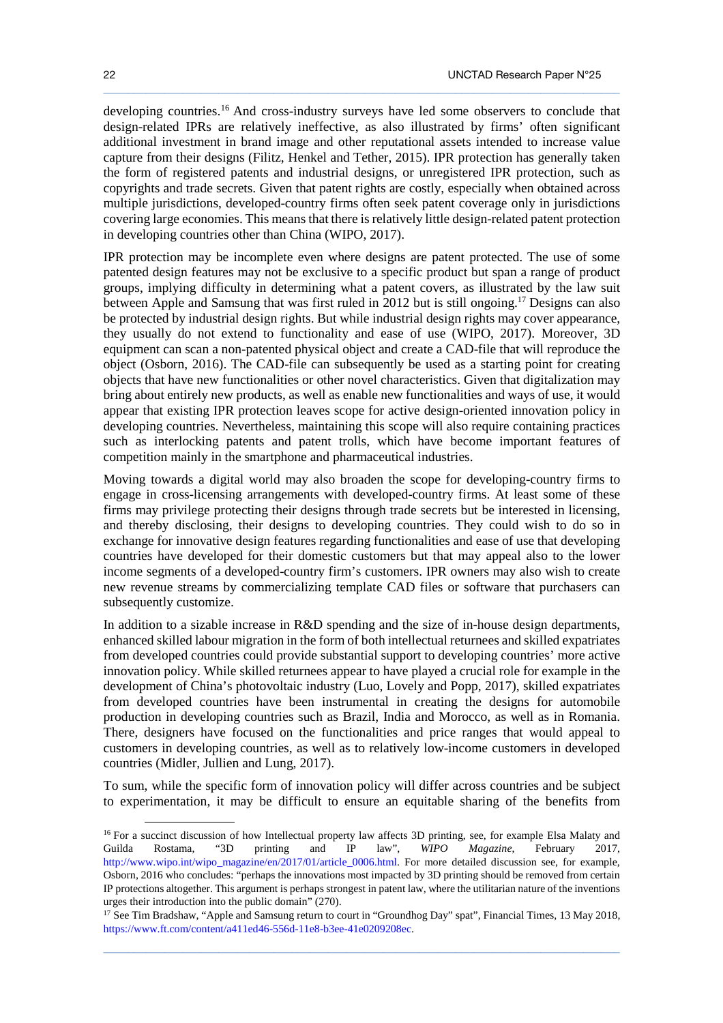developing countries.<sup>16</sup> And cross-industry surveys have led some observers to conclude that design-related IPRs are relatively ineffective, as also illustrated by firms' often significant additional investment in brand image and other reputational assets intended to increase value capture from their designs (Filitz, Henkel and Tether, 2015). IPR protection has generally taken the form of registered patents and industrial designs, or unregistered IPR protection, such as copyrights and trade secrets. Given that patent rights are costly, especially when obtained across multiple jurisdictions, developed-country firms often seek patent coverage only in jurisdictions covering large economies. This means that there is relatively little design-related patent protection in developing countries other than China (WIPO, 2017).

 $\_$  ,  $\_$  ,  $\_$  ,  $\_$  ,  $\_$  ,  $\_$  ,  $\_$  ,  $\_$  ,  $\_$  ,  $\_$  ,  $\_$  ,  $\_$  ,  $\_$  ,  $\_$  ,  $\_$  ,  $\_$  ,  $\_$  ,  $\_$  ,  $\_$  ,  $\_$  ,  $\_$  ,  $\_$  ,  $\_$  ,  $\_$  ,  $\_$  ,  $\_$  ,  $\_$  ,  $\_$  ,  $\_$  ,  $\_$  ,  $\_$  ,  $\_$  ,  $\_$  ,  $\_$  ,  $\_$  ,  $\_$  ,  $\_$  ,

IPR protection may be incomplete even where designs are patent protected. The use of some patented design features may not be exclusive to a specific product but span a range of product groups, implying difficulty in determining what a patent covers, as illustrated by the law suit between Apple and Samsung that was first ruled in 2012 but is still ongoing.<sup>17</sup> Designs can also be protected by industrial design rights. But while industrial design rights may cover appearance, they usually do not extend to functionality and ease of use (WIPO, 2017). Moreover, 3D equipment can scan a non-patented physical object and create a CAD-file that will reproduce the object (Osborn, 2016). The CAD-file can subsequently be used as a starting point for creating objects that have new functionalities or other novel characteristics. Given that digitalization may bring about entirely new products, as well as enable new functionalities and ways of use, it would appear that existing IPR protection leaves scope for active design-oriented innovation policy in developing countries. Nevertheless, maintaining this scope will also require containing practices such as interlocking patents and patent trolls, which have become important features of competition mainly in the smartphone and pharmaceutical industries.

Moving towards a digital world may also broaden the scope for developing-country firms to engage in cross-licensing arrangements with developed-country firms. At least some of these firms may privilege protecting their designs through trade secrets but be interested in licensing, and thereby disclosing, their designs to developing countries. They could wish to do so in exchange for innovative design features regarding functionalities and ease of use that developing countries have developed for their domestic customers but that may appeal also to the lower income segments of a developed-country firm's customers. IPR owners may also wish to create new revenue streams by commercializing template CAD files or software that purchasers can subsequently customize.

In addition to a sizable increase in R&D spending and the size of in-house design departments, enhanced skilled labour migration in the form of both intellectual returnees and skilled expatriates from developed countries could provide substantial support to developing countries' more active innovation policy. While skilled returnees appear to have played a crucial role for example in the development of China's photovoltaic industry (Luo, Lovely and Popp, 2017), skilled expatriates from developed countries have been instrumental in creating the designs for automobile production in developing countries such as Brazil, India and Morocco, as well as in Romania. There, designers have focused on the functionalities and price ranges that would appeal to customers in developing countries, as well as to relatively low-income customers in developed countries (Midler, Jullien and Lung, 2017).

To sum, while the specific form of innovation policy will differ across countries and be subject to experimentation, it may be difficult to ensure an equitable sharing of the benefits from

 $\_$  ,  $\_$  ,  $\_$  ,  $\_$  ,  $\_$  ,  $\_$  ,  $\_$  ,  $\_$  ,  $\_$  ,  $\_$  ,  $\_$  ,  $\_$  ,  $\_$  ,  $\_$  ,  $\_$  ,  $\_$  ,  $\_$  ,  $\_$  ,  $\_$  ,  $\_$  ,  $\_$  ,  $\_$  ,  $\_$  ,  $\_$  ,  $\_$  ,  $\_$  ,  $\_$  ,  $\_$  ,  $\_$  ,  $\_$  ,  $\_$  ,  $\_$  ,  $\_$  ,  $\_$  ,  $\_$  ,  $\_$  ,  $\_$  ,

l

<sup>&</sup>lt;sup>16</sup> For a succinct discussion of how Intellectual property law affects 3D printing, see, for example Elsa Malaty and Guilda Rostama, "3D printing and IP law", *WIPO Magazine*, February 2017, http://www.wipo.int/wipo\_magazine/en/2017/01/article\_0006.html. For more detailed discussion see, for example, Osborn, 2016 who concludes: "perhaps the innovations most impacted by 3D printing should be removed from certain IP protections altogether. This argument is perhaps strongest in patent law, where the utilitarian nature of the inventions urges their introduction into the public domain" (270).

<sup>&</sup>lt;sup>17</sup> See Tim Bradshaw, "Apple and Samsung return to court in "Groundhog Day" spat", Financial Times, 13 May 2018, https://www.ft.com/content/a411ed46-556d-11e8-b3ee-41e0209208ec.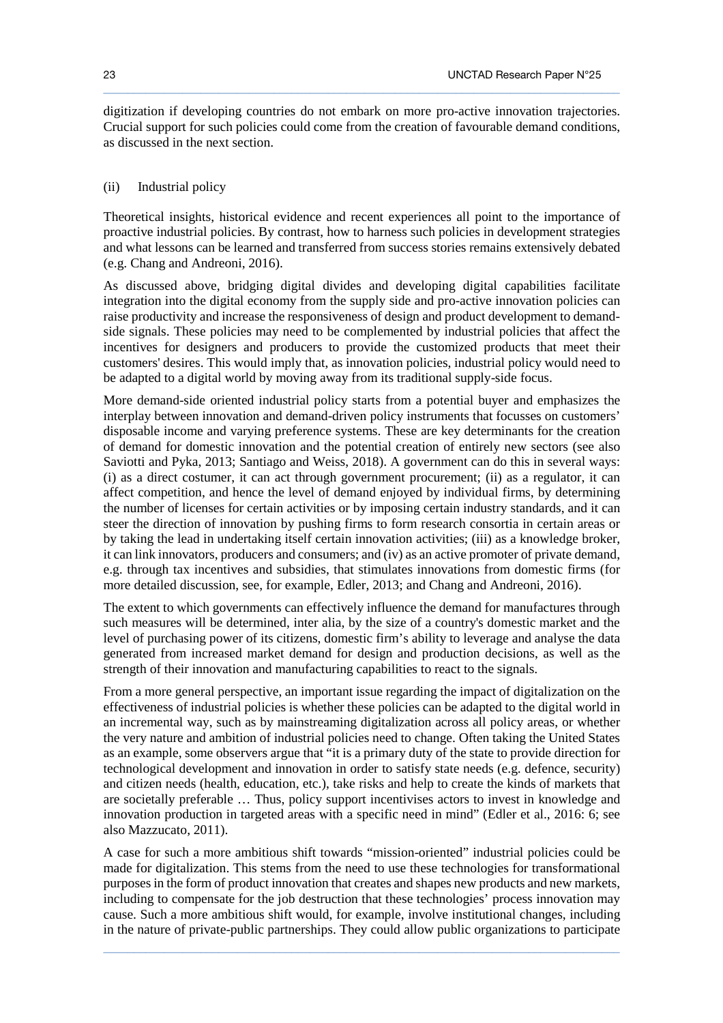digitization if developing countries do not embark on more pro-active innovation trajectories. Crucial support for such policies could come from the creation of favourable demand conditions, as discussed in the next section.

 $\_$  ,  $\_$  ,  $\_$  ,  $\_$  ,  $\_$  ,  $\_$  ,  $\_$  ,  $\_$  ,  $\_$  ,  $\_$  ,  $\_$  ,  $\_$  ,  $\_$  ,  $\_$  ,  $\_$  ,  $\_$  ,  $\_$  ,  $\_$  ,  $\_$  ,  $\_$  ,  $\_$  ,  $\_$  ,  $\_$  ,  $\_$  ,  $\_$  ,  $\_$  ,  $\_$  ,  $\_$  ,  $\_$  ,  $\_$  ,  $\_$  ,  $\_$  ,  $\_$  ,  $\_$  ,  $\_$  ,  $\_$  ,  $\_$  ,

#### (ii) Industrial policy

Theoretical insights, historical evidence and recent experiences all point to the importance of proactive industrial policies. By contrast, how to harness such policies in development strategies and what lessons can be learned and transferred from success stories remains extensively debated (e.g. Chang and Andreoni, 2016).

As discussed above, bridging digital divides and developing digital capabilities facilitate integration into the digital economy from the supply side and pro-active innovation policies can raise productivity and increase the responsiveness of design and product development to demandside signals. These policies may need to be complemented by industrial policies that affect the incentives for designers and producers to provide the customized products that meet their customers' desires. This would imply that, as innovation policies, industrial policy would need to be adapted to a digital world by moving away from its traditional supply-side focus.

More demand-side oriented industrial policy starts from a potential buyer and emphasizes the interplay between innovation and demand-driven policy instruments that focusses on customers' disposable income and varying preference systems. These are key determinants for the creation of demand for domestic innovation and the potential creation of entirely new sectors (see also Saviotti and Pyka, 2013; Santiago and Weiss, 2018). A government can do this in several ways: (i) as a direct costumer, it can act through government procurement; (ii) as a regulator, it can affect competition, and hence the level of demand enjoyed by individual firms, by determining the number of licenses for certain activities or by imposing certain industry standards, and it can steer the direction of innovation by pushing firms to form research consortia in certain areas or by taking the lead in undertaking itself certain innovation activities; (iii) as a knowledge broker, it can link innovators, producers and consumers; and (iv) as an active promoter of private demand, e.g. through tax incentives and subsidies, that stimulates innovations from domestic firms (for more detailed discussion, see, for example, Edler, 2013; and Chang and Andreoni, 2016).

The extent to which governments can effectively influence the demand for manufactures through such measures will be determined, inter alia, by the size of a country's domestic market and the level of purchasing power of its citizens, domestic firm's ability to leverage and analyse the data generated from increased market demand for design and production decisions, as well as the strength of their innovation and manufacturing capabilities to react to the signals.

From a more general perspective, an important issue regarding the impact of digitalization on the effectiveness of industrial policies is whether these policies can be adapted to the digital world in an incremental way, such as by mainstreaming digitalization across all policy areas, or whether the very nature and ambition of industrial policies need to change. Often taking the United States as an example, some observers argue that "it is a primary duty of the state to provide direction for technological development and innovation in order to satisfy state needs (e.g. defence, security) and citizen needs (health, education, etc.), take risks and help to create the kinds of markets that are societally preferable … Thus, policy support incentivises actors to invest in knowledge and innovation production in targeted areas with a specific need in mind" (Edler et al., 2016: 6; see also Mazzucato, 2011).

A case for such a more ambitious shift towards "mission-oriented" industrial policies could be made for digitalization. This stems from the need to use these technologies for transformational purposes in the form of product innovation that creates and shapes new products and new markets, including to compensate for the job destruction that these technologies' process innovation may cause. Such a more ambitious shift would, for example, involve institutional changes, including in the nature of private-public partnerships. They could allow public organizations to participate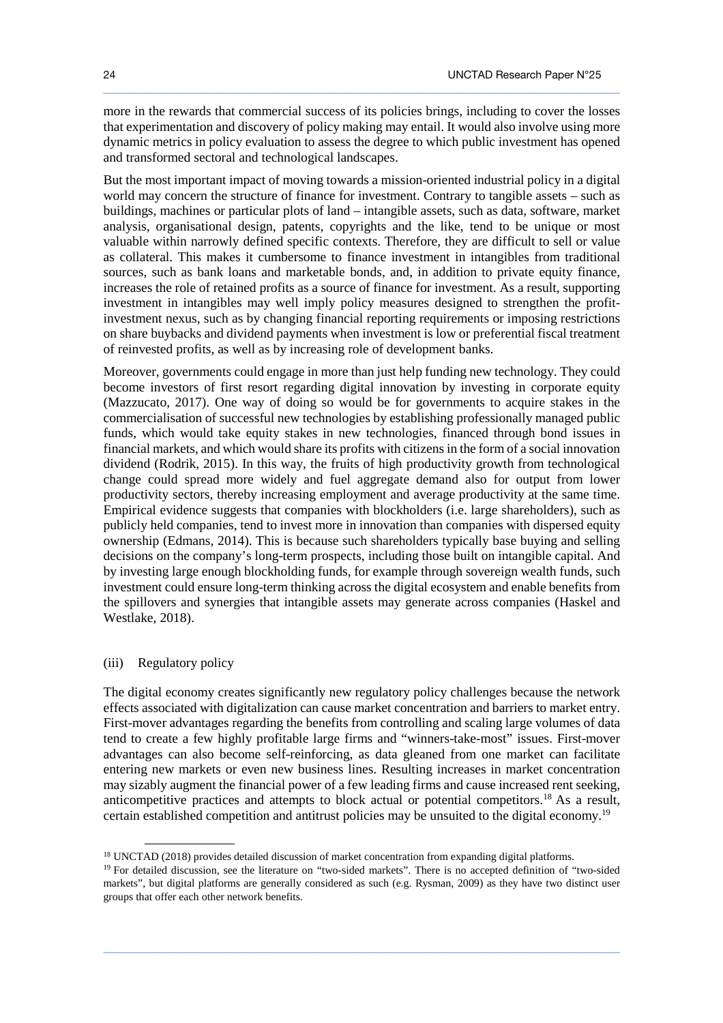more in the rewards that commercial success of its policies brings, including to cover the losses that experimentation and discovery of policy making may entail. It would also involve using more dynamic metrics in policy evaluation to assess the degree to which public investment has opened and transformed sectoral and technological landscapes.

 $\_$  ,  $\_$  ,  $\_$  ,  $\_$  ,  $\_$  ,  $\_$  ,  $\_$  ,  $\_$  ,  $\_$  ,  $\_$  ,  $\_$  ,  $\_$  ,  $\_$  ,  $\_$  ,  $\_$  ,  $\_$  ,  $\_$  ,  $\_$  ,  $\_$  ,  $\_$  ,  $\_$  ,  $\_$  ,  $\_$  ,  $\_$  ,  $\_$  ,  $\_$  ,  $\_$  ,  $\_$  ,  $\_$  ,  $\_$  ,  $\_$  ,  $\_$  ,  $\_$  ,  $\_$  ,  $\_$  ,  $\_$  ,  $\_$  ,

But the most important impact of moving towards a mission-oriented industrial policy in a digital world may concern the structure of finance for investment. Contrary to tangible assets – such as buildings, machines or particular plots of land – intangible assets, such as data, software, market analysis, organisational design, patents, copyrights and the like, tend to be unique or most valuable within narrowly defined specific contexts. Therefore, they are difficult to sell or value as collateral. This makes it cumbersome to finance investment in intangibles from traditional sources, such as bank loans and marketable bonds, and, in addition to private equity finance, increases the role of retained profits as a source of finance for investment. As a result, supporting investment in intangibles may well imply policy measures designed to strengthen the profitinvestment nexus, such as by changing financial reporting requirements or imposing restrictions on share buybacks and dividend payments when investment is low or preferential fiscal treatment of reinvested profits, as well as by increasing role of development banks.

Moreover, governments could engage in more than just help funding new technology. They could become investors of first resort regarding digital innovation by investing in corporate equity (Mazzucato, 2017). One way of doing so would be for governments to acquire stakes in the commercialisation of successful new technologies by establishing professionally managed public funds, which would take equity stakes in new technologies, financed through bond issues in financial markets, and which would share its profits with citizens in the form of a social innovation dividend (Rodrik, 2015). In this way, the fruits of high productivity growth from technological change could spread more widely and fuel aggregate demand also for output from lower productivity sectors, thereby increasing employment and average productivity at the same time. Empirical evidence suggests that companies with blockholders (i.e. large shareholders), such as publicly held companies, tend to invest more in innovation than companies with dispersed equity ownership (Edmans, 2014). This is because such shareholders typically base buying and selling decisions on the company's long-term prospects, including those built on intangible capital. And by investing large enough blockholding funds, for example through sovereign wealth funds, such investment could ensure long-term thinking across the digital ecosystem and enable benefits from the spillovers and synergies that intangible assets may generate across companies (Haskel and Westlake, 2018).

#### (iii) Regulatory policy

l

The digital economy creates significantly new regulatory policy challenges because the network effects associated with digitalization can cause market concentration and barriers to market entry. First-mover advantages regarding the benefits from controlling and scaling large volumes of data tend to create a few highly profitable large firms and "winners-take-most" issues. First-mover advantages can also become self-reinforcing, as data gleaned from one market can facilitate entering new markets or even new business lines. Resulting increases in market concentration may sizably augment the financial power of a few leading firms and cause increased rent seeking, anticompetitive practices and attempts to block actual or potential competitors.<sup>18</sup> As a result, certain established competition and antitrust policies may be unsuited to the digital economy.<sup>19</sup>

<sup>&</sup>lt;sup>18</sup> UNCTAD (2018) provides detailed discussion of market concentration from expanding digital platforms.

<sup>&</sup>lt;sup>19</sup> For detailed discussion, see the literature on "two-sided markets". There is no accepted definition of "two-sided markets", but digital platforms are generally considered as such (e.g. Rysman, 2009) as they have two distinct user groups that offer each other network benefits.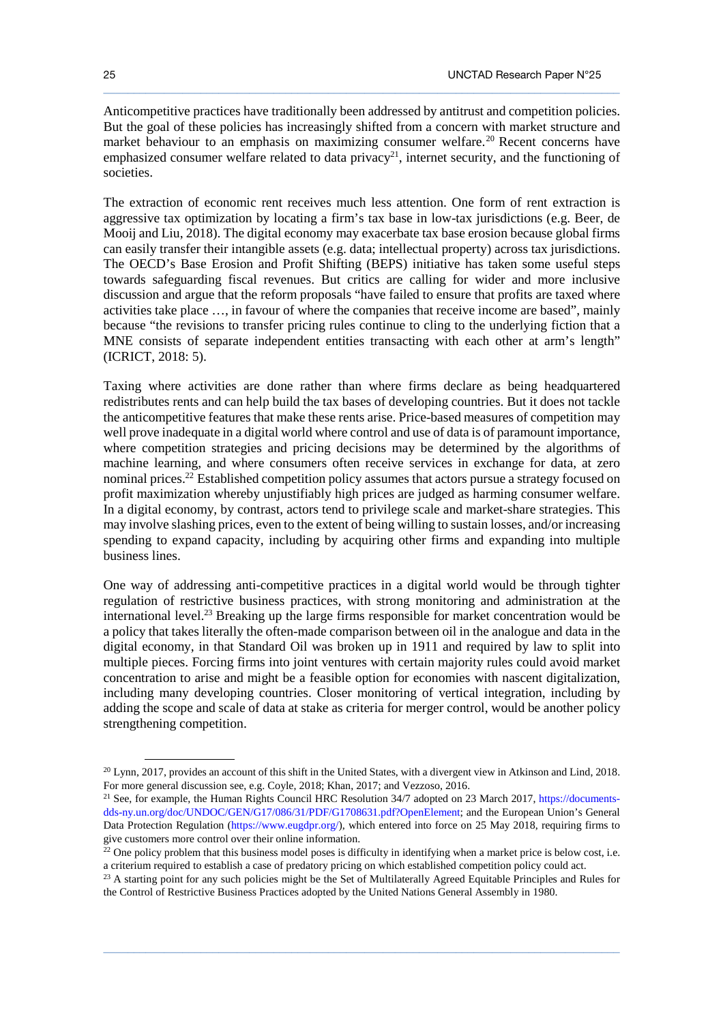Anticompetitive practices have traditionally been addressed by antitrust and competition policies. But the goal of these policies has increasingly shifted from a concern with market structure and market behaviour to an emphasis on maximizing consumer welfare.<sup>20</sup> Recent concerns have emphasized consumer welfare related to data privacy<sup>21</sup>, internet security, and the functioning of societies.

 $\_$  ,  $\_$  ,  $\_$  ,  $\_$  ,  $\_$  ,  $\_$  ,  $\_$  ,  $\_$  ,  $\_$  ,  $\_$  ,  $\_$  ,  $\_$  ,  $\_$  ,  $\_$  ,  $\_$  ,  $\_$  ,  $\_$  ,  $\_$  ,  $\_$  ,  $\_$  ,  $\_$  ,  $\_$  ,  $\_$  ,  $\_$  ,  $\_$  ,  $\_$  ,  $\_$  ,  $\_$  ,  $\_$  ,  $\_$  ,  $\_$  ,  $\_$  ,  $\_$  ,  $\_$  ,  $\_$  ,  $\_$  ,  $\_$  ,

The extraction of economic rent receives much less attention. One form of rent extraction is aggressive tax optimization by locating a firm's tax base in low-tax jurisdictions (e.g. Beer, de Mooij and Liu, 2018). The digital economy may exacerbate tax base erosion because global firms can easily transfer their intangible assets (e.g. data; intellectual property) across tax jurisdictions. The OECD's Base Erosion and Profit Shifting (BEPS) initiative has taken some useful steps towards safeguarding fiscal revenues. But critics are calling for wider and more inclusive discussion and argue that the reform proposals "have failed to ensure that profits are taxed where activities take place …, in favour of where the companies that receive income are based", mainly because "the revisions to transfer pricing rules continue to cling to the underlying fiction that a MNE consists of separate independent entities transacting with each other at arm's length" (ICRICT, 2018: 5).

Taxing where activities are done rather than where firms declare as being headquartered redistributes rents and can help build the tax bases of developing countries. But it does not tackle the anticompetitive features that make these rents arise. Price-based measures of competition may well prove inadequate in a digital world where control and use of data is of paramount importance, where competition strategies and pricing decisions may be determined by the algorithms of machine learning, and where consumers often receive services in exchange for data, at zero nominal prices.<sup>22</sup> Established competition policy assumes that actors pursue a strategy focused on profit maximization whereby unjustifiably high prices are judged as harming consumer welfare. In a digital economy, by contrast, actors tend to privilege scale and market-share strategies. This may involve slashing prices, even to the extent of being willing to sustain losses, and/or increasing spending to expand capacity, including by acquiring other firms and expanding into multiple business lines.

One way of addressing anti-competitive practices in a digital world would be through tighter regulation of restrictive business practices, with strong monitoring and administration at the international level.<sup>23</sup> Breaking up the large firms responsible for market concentration would be a policy that takes literally the often-made comparison between oil in the analogue and data in the digital economy, in that Standard Oil was broken up in 1911 and required by law to split into multiple pieces. Forcing firms into joint ventures with certain majority rules could avoid market concentration to arise and might be a feasible option for economies with nascent digitalization, including many developing countries. Closer monitoring of vertical integration, including by adding the scope and scale of data at stake as criteria for merger control, would be another policy strengthening competition.

 $\_$  ,  $\_$  ,  $\_$  ,  $\_$  ,  $\_$  ,  $\_$  ,  $\_$  ,  $\_$  ,  $\_$  ,  $\_$  ,  $\_$  ,  $\_$  ,  $\_$  ,  $\_$  ,  $\_$  ,  $\_$  ,  $\_$  ,  $\_$  ,  $\_$  ,  $\_$  ,  $\_$  ,  $\_$  ,  $\_$  ,  $\_$  ,  $\_$  ,  $\_$  ,  $\_$  ,  $\_$  ,  $\_$  ,  $\_$  ,  $\_$  ,  $\_$  ,  $\_$  ,  $\_$  ,  $\_$  ,  $\_$  ,  $\_$  ,

 $\ddot{\phantom{a}}$ 

<sup>&</sup>lt;sup>20</sup> Lynn, 2017, provides an account of this shift in the United States, with a divergent view in Atkinson and Lind, 2018. For more general discussion see, e.g. Coyle, 2018; Khan, 2017; and Vezzoso, 2016.

<sup>&</sup>lt;sup>21</sup> See, for example, the Human Rights Council HRC Resolution 34/7 adopted on 23 March 2017, https://documentsdds-ny.un.org/doc/UNDOC/GEN/G17/086/31/PDF/G1708631.pdf?OpenElement; and the European Union's General Data Protection Regulation (https://www.eugdpr.org/), which entered into force on 25 May 2018, requiring firms to give customers more control over their online information.

 $22$  One policy problem that this business model poses is difficulty in identifying when a market price is below cost, i.e. a criterium required to establish a case of predatory pricing on which established competition policy could act.

<sup>&</sup>lt;sup>23</sup> A starting point for any such policies might be the Set of Multilaterally Agreed Equitable Principles and Rules for the Control of Restrictive Business Practices adopted by the United Nations General Assembly in 1980.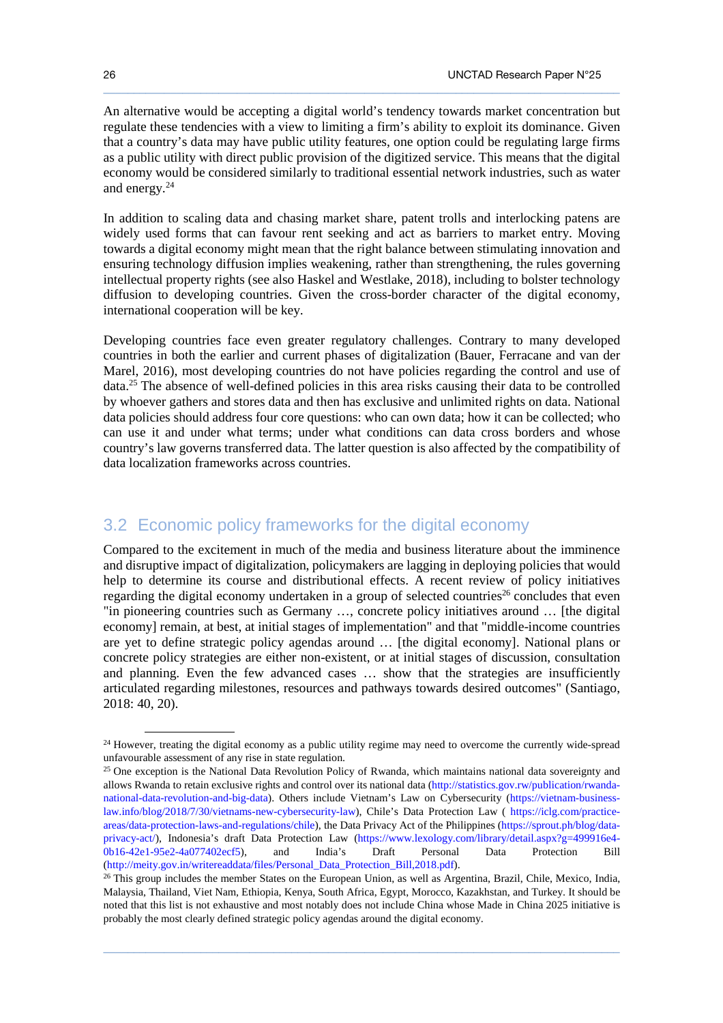An alternative would be accepting a digital world's tendency towards market concentration but regulate these tendencies with a view to limiting a firm's ability to exploit its dominance. Given that a country's data may have public utility features, one option could be regulating large firms as a public utility with direct public provision of the digitized service. This means that the digital economy would be considered similarly to traditional essential network industries, such as water and energy.<sup>24</sup>

 $\_$  ,  $\_$  ,  $\_$  ,  $\_$  ,  $\_$  ,  $\_$  ,  $\_$  ,  $\_$  ,  $\_$  ,  $\_$  ,  $\_$  ,  $\_$  ,  $\_$  ,  $\_$  ,  $\_$  ,  $\_$  ,  $\_$  ,  $\_$  ,  $\_$  ,  $\_$  ,  $\_$  ,  $\_$  ,  $\_$  ,  $\_$  ,  $\_$  ,  $\_$  ,  $\_$  ,  $\_$  ,  $\_$  ,  $\_$  ,  $\_$  ,  $\_$  ,  $\_$  ,  $\_$  ,  $\_$  ,  $\_$  ,  $\_$  ,

In addition to scaling data and chasing market share, patent trolls and interlocking patens are widely used forms that can favour rent seeking and act as barriers to market entry. Moving towards a digital economy might mean that the right balance between stimulating innovation and ensuring technology diffusion implies weakening, rather than strengthening, the rules governing intellectual property rights (see also Haskel and Westlake, 2018), including to bolster technology diffusion to developing countries. Given the cross-border character of the digital economy, international cooperation will be key.

Developing countries face even greater regulatory challenges. Contrary to many developed countries in both the earlier and current phases of digitalization (Bauer, Ferracane and van der Marel, 2016), most developing countries do not have policies regarding the control and use of data.<sup>25</sup> The absence of well-defined policies in this area risks causing their data to be controlled by whoever gathers and stores data and then has exclusive and unlimited rights on data. National data policies should address four core questions: who can own data; how it can be collected; who can use it and under what terms; under what conditions can data cross borders and whose country's law governs transferred data. The latter question is also affected by the compatibility of data localization frameworks across countries.

# 3.2 Economic policy frameworks for the digital economy

Compared to the excitement in much of the media and business literature about the imminence and disruptive impact of digitalization, policymakers are lagging in deploying policies that would help to determine its course and distributional effects. A recent review of policy initiatives regarding the digital economy undertaken in a group of selected countries<sup>26</sup> concludes that even "in pioneering countries such as Germany …, concrete policy initiatives around … [the digital economy] remain, at best, at initial stages of implementation" and that "middle-income countries are yet to define strategic policy agendas around … [the digital economy]. National plans or concrete policy strategies are either non-existent, or at initial stages of discussion, consultation and planning. Even the few advanced cases … show that the strategies are insufficiently articulated regarding milestones, resources and pathways towards desired outcomes" (Santiago, 2018: 40, 20).

 $\_$  ,  $\_$  ,  $\_$  ,  $\_$  ,  $\_$  ,  $\_$  ,  $\_$  ,  $\_$  ,  $\_$  ,  $\_$  ,  $\_$  ,  $\_$  ,  $\_$  ,  $\_$  ,  $\_$  ,  $\_$  ,  $\_$  ,  $\_$  ,  $\_$  ,  $\_$  ,  $\_$  ,  $\_$  ,  $\_$  ,  $\_$  ,  $\_$  ,  $\_$  ,  $\_$  ,  $\_$  ,  $\_$  ,  $\_$  ,  $\_$  ,  $\_$  ,  $\_$  ,  $\_$  ,  $\_$  ,  $\_$  ,  $\_$  ,

 $\ddot{\phantom{a}}$ 

<sup>&</sup>lt;sup>24</sup> However, treating the digital economy as a public utility regime may need to overcome the currently wide-spread unfavourable assessment of any rise in state regulation.

<sup>&</sup>lt;sup>25</sup> One exception is the National Data Revolution Policy of Rwanda, which maintains national data sovereignty and allows Rwanda to retain exclusive rights and control over its national data (http://statistics.gov.rw/publication/rwandanational-data-revolution-and-big-data). Others include Vietnam's Law on Cybersecurity (https://vietnam-businesslaw.info/blog/2018/7/30/vietnams-new-cybersecurity-law), Chile's Data Protection Law ( https://iclg.com/practiceareas/data-protection-laws-and-regulations/chile), the Data Privacy Act of the Philippines (https://sprout.ph/blog/dataprivacy-act/), Indonesia's draft Data Protection Law (https://www.lexology.com/library/detail.aspx?g=499916e4- 0b16-42e1-95e2-4a077402ecf5), and India's Draft Personal Data Protection Bill (http://meity.gov.in/writereaddata/files/Personal\_Data\_Protection\_Bill,2018.pdf).

<sup>&</sup>lt;sup>26</sup> This group includes the member States on the European Union, as well as Argentina, Brazil, Chile, Mexico, India, Malaysia, Thailand, Viet Nam, Ethiopia, Kenya, South Africa, Egypt, Morocco, Kazakhstan, and Turkey. It should be noted that this list is not exhaustive and most notably does not include China whose Made in China 2025 initiative is probably the most clearly defined strategic policy agendas around the digital economy.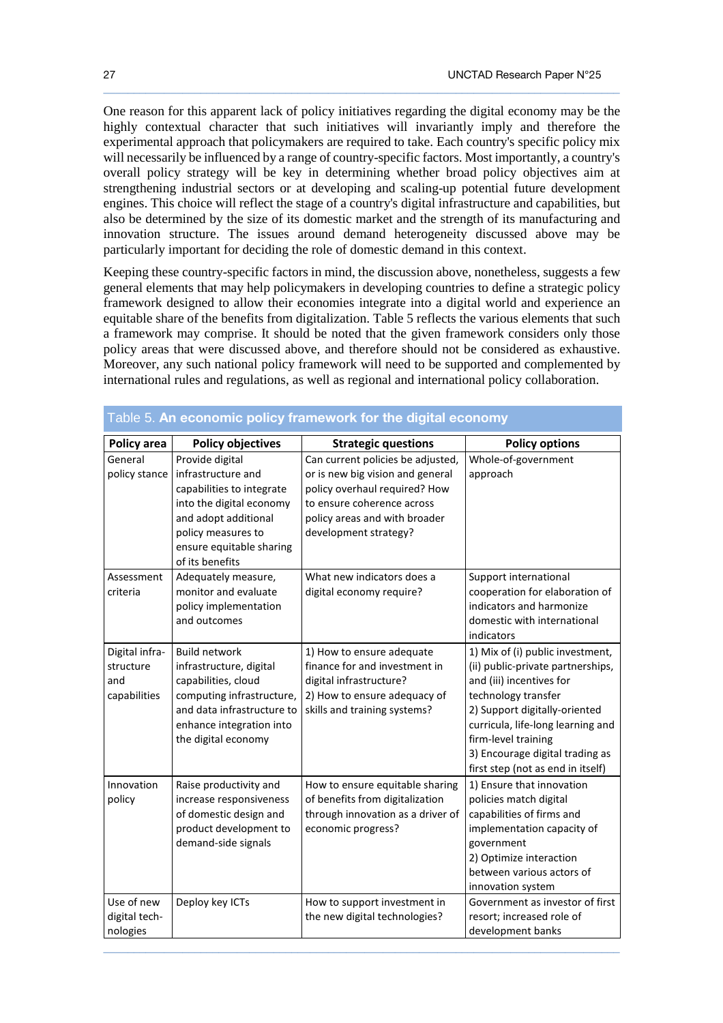One reason for this apparent lack of policy initiatives regarding the digital economy may be the highly contextual character that such initiatives will invariantly imply and therefore the experimental approach that policymakers are required to take. Each country's specific policy mix will necessarily be influenced by a range of country-specific factors. Most importantly, a country's overall policy strategy will be key in determining whether broad policy objectives aim at strengthening industrial sectors or at developing and scaling-up potential future development engines. This choice will reflect the stage of a country's digital infrastructure and capabilities, but also be determined by the size of its domestic market and the strength of its manufacturing and innovation structure. The issues around demand heterogeneity discussed above may be particularly important for deciding the role of domestic demand in this context.

 $\_$  ,  $\_$  ,  $\_$  ,  $\_$  ,  $\_$  ,  $\_$  ,  $\_$  ,  $\_$  ,  $\_$  ,  $\_$  ,  $\_$  ,  $\_$  ,  $\_$  ,  $\_$  ,  $\_$  ,  $\_$  ,  $\_$  ,  $\_$  ,  $\_$  ,  $\_$  ,  $\_$  ,  $\_$  ,  $\_$  ,  $\_$  ,  $\_$  ,  $\_$  ,  $\_$  ,  $\_$  ,  $\_$  ,  $\_$  ,  $\_$  ,  $\_$  ,  $\_$  ,  $\_$  ,  $\_$  ,  $\_$  ,  $\_$  ,

Keeping these country-specific factors in mind, the discussion above, nonetheless, suggests a few general elements that may help policymakers in developing countries to define a strategic policy framework designed to allow their economies integrate into a digital world and experience an equitable share of the benefits from digitalization. Table 5 reflects the various elements that such a framework may comprise. It should be noted that the given framework considers only those policy areas that were discussed above, and therefore should not be considered as exhaustive. Moreover, any such national policy framework will need to be supported and complemented by international rules and regulations, as well as regional and international policy collaboration.

| Policy area                                        | <b>Policy objectives</b>                                                                                                                                                                    | <b>Strategic questions</b>                                                                                                                                                                     | <b>Policy options</b>                                                                                                                                                                                                                                                                         |
|----------------------------------------------------|---------------------------------------------------------------------------------------------------------------------------------------------------------------------------------------------|------------------------------------------------------------------------------------------------------------------------------------------------------------------------------------------------|-----------------------------------------------------------------------------------------------------------------------------------------------------------------------------------------------------------------------------------------------------------------------------------------------|
| General<br>policy stance                           | Provide digital<br>infrastructure and<br>capabilities to integrate<br>into the digital economy<br>and adopt additional<br>policy measures to<br>ensure equitable sharing<br>of its benefits | Can current policies be adjusted,<br>or is new big vision and general<br>policy overhaul required? How<br>to ensure coherence across<br>policy areas and with broader<br>development strategy? | Whole-of-government<br>approach                                                                                                                                                                                                                                                               |
| Assessment<br>criteria                             | Adequately measure,<br>monitor and evaluate<br>policy implementation<br>and outcomes                                                                                                        | What new indicators does a<br>digital economy require?                                                                                                                                         | Support international<br>cooperation for elaboration of<br>indicators and harmonize<br>domestic with international<br>indicators                                                                                                                                                              |
| Digital infra-<br>structure<br>and<br>capabilities | <b>Build network</b><br>infrastructure, digital<br>capabilities, cloud<br>computing infrastructure,<br>and data infrastructure to<br>enhance integration into<br>the digital economy        | 1) How to ensure adequate<br>finance for and investment in<br>digital infrastructure?<br>2) How to ensure adequacy of<br>skills and training systems?                                          | 1) Mix of (i) public investment,<br>(ii) public-private partnerships,<br>and (iii) incentives for<br>technology transfer<br>2) Support digitally-oriented<br>curricula, life-long learning and<br>firm-level training<br>3) Encourage digital trading as<br>first step (not as end in itself) |
| Innovation<br>policy                               | Raise productivity and<br>increase responsiveness<br>of domestic design and<br>product development to<br>demand-side signals                                                                | How to ensure equitable sharing<br>of benefits from digitalization<br>through innovation as a driver of<br>economic progress?                                                                  | 1) Ensure that innovation<br>policies match digital<br>capabilities of firms and<br>implementation capacity of<br>government<br>2) Optimize interaction<br>between various actors of<br>innovation system                                                                                     |
| Use of new<br>digital tech-<br>nologies            | Deploy key ICTs                                                                                                                                                                             | How to support investment in<br>the new digital technologies?                                                                                                                                  | Government as investor of first<br>resort; increased role of<br>development banks                                                                                                                                                                                                             |

 $\_$  ,  $\_$  ,  $\_$  ,  $\_$  ,  $\_$  ,  $\_$  ,  $\_$  ,  $\_$  ,  $\_$  ,  $\_$  ,  $\_$  ,  $\_$  ,  $\_$  ,  $\_$  ,  $\_$  ,  $\_$  ,  $\_$  ,  $\_$  ,  $\_$  ,  $\_$  ,  $\_$  ,  $\_$  ,  $\_$  ,  $\_$  ,  $\_$  ,  $\_$  ,  $\_$  ,  $\_$  ,  $\_$  ,  $\_$  ,  $\_$  ,  $\_$  ,  $\_$  ,  $\_$  ,  $\_$  ,  $\_$  ,  $\_$  ,

## Table 5. An economic policy framework for the digital economy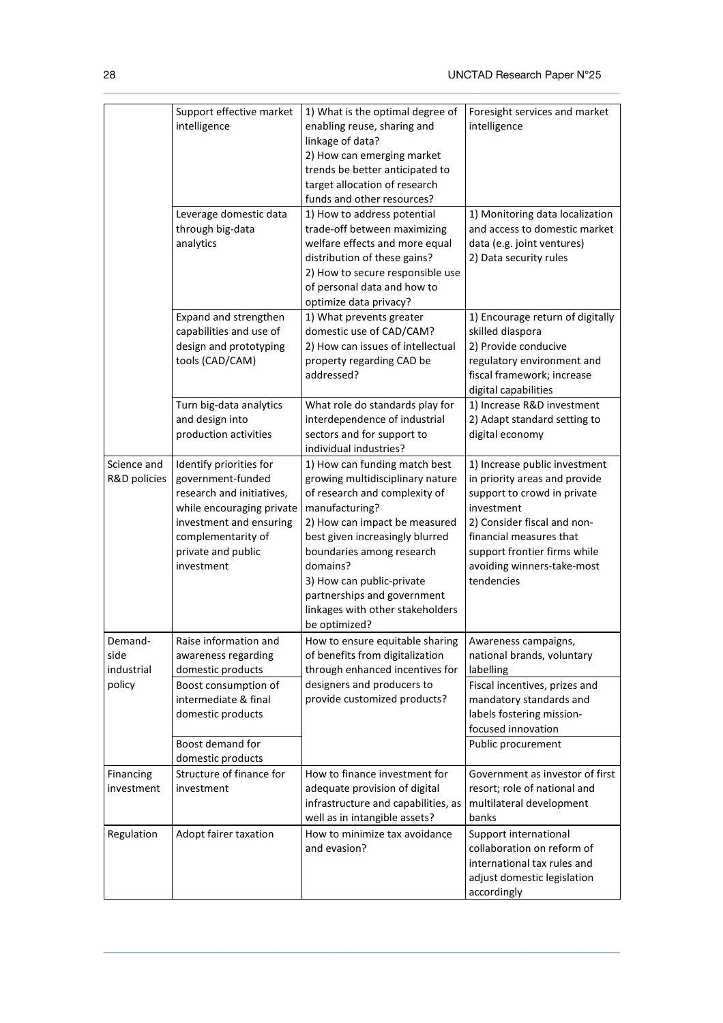|                                         | Support effective market<br>intelligence<br>Leverage domestic data<br>through big-data<br>analytics                                                                                         | 1) What is the optimal degree of<br>enabling reuse, sharing and<br>linkage of data?<br>2) How can emerging market<br>trends be better anticipated to<br>target allocation of research<br>funds and other resources?<br>1) How to address potential<br>trade-off between maximizing<br>welfare effects and more equal<br>distribution of these gains?<br>2) How to secure responsible use | Foresight services and market<br>intelligence<br>1) Monitoring data localization<br>and access to domestic market<br>data (e.g. joint ventures)<br>2) Data security rules                                                                         |
|-----------------------------------------|---------------------------------------------------------------------------------------------------------------------------------------------------------------------------------------------|------------------------------------------------------------------------------------------------------------------------------------------------------------------------------------------------------------------------------------------------------------------------------------------------------------------------------------------------------------------------------------------|---------------------------------------------------------------------------------------------------------------------------------------------------------------------------------------------------------------------------------------------------|
|                                         | Expand and strengthen<br>capabilities and use of<br>design and prototyping<br>tools (CAD/CAM)                                                                                               | of personal data and how to<br>optimize data privacy?<br>1) What prevents greater<br>domestic use of CAD/CAM?<br>2) How can issues of intellectual<br>property regarding CAD be<br>addressed?                                                                                                                                                                                            | 1) Encourage return of digitally<br>skilled diaspora<br>2) Provide conducive<br>regulatory environment and<br>fiscal framework; increase<br>digital capabilities                                                                                  |
|                                         | Turn big-data analytics<br>and design into<br>production activities                                                                                                                         | What role do standards play for<br>interdependence of industrial<br>sectors and for support to<br>individual industries?                                                                                                                                                                                                                                                                 | 1) Increase R&D investment<br>2) Adapt standard setting to<br>digital economy                                                                                                                                                                     |
| Science and<br>R&D policies             | Identify priorities for<br>government-funded<br>research and initiatives,<br>while encouraging private<br>investment and ensuring<br>complementarity of<br>private and public<br>investment | 1) How can funding match best<br>growing multidisciplinary nature<br>of research and complexity of<br>manufacturing?<br>2) How can impact be measured<br>best given increasingly blurred<br>boundaries among research<br>domains?<br>3) How can public-private<br>partnerships and government<br>linkages with other stakeholders<br>be optimized?                                       | 1) Increase public investment<br>in priority areas and provide<br>support to crowd in private<br>investment<br>2) Consider fiscal and non-<br>financial measures that<br>support frontier firms while<br>avoiding winners-take-most<br>tendencies |
| Demand-<br>side<br>industrial<br>policy | Raise information and<br>awareness regarding<br>domestic products<br>Boost consumption of<br>intermediate & final<br>domestic products<br>Boost demand for<br>domestic products             | How to ensure equitable sharing<br>of benefits from digitalization<br>through enhanced incentives for<br>designers and producers to<br>provide customized products?                                                                                                                                                                                                                      | Awareness campaigns,<br>national brands, voluntary<br>labelling<br>Fiscal incentives, prizes and<br>mandatory standards and<br>labels fostering mission-<br>focused innovation<br>Public procurement                                              |
| Financing<br>investment                 | Structure of finance for<br>investment                                                                                                                                                      | How to finance investment for<br>adequate provision of digital<br>infrastructure and capabilities, as<br>well as in intangible assets?                                                                                                                                                                                                                                                   | Government as investor of first<br>resort; role of national and<br>multilateral development<br>banks                                                                                                                                              |
| Regulation                              | Adopt fairer taxation                                                                                                                                                                       | How to minimize tax avoidance<br>and evasion?                                                                                                                                                                                                                                                                                                                                            | Support international<br>collaboration on reform of<br>international tax rules and<br>adjust domestic legislation<br>accordingly                                                                                                                  |

 $\_$  ,  $\_$  ,  $\_$  ,  $\_$  ,  $\_$  ,  $\_$  ,  $\_$  ,  $\_$  ,  $\_$  ,  $\_$  ,  $\_$  ,  $\_$  ,  $\_$  ,  $\_$  ,  $\_$  ,  $\_$  ,  $\_$  ,  $\_$  ,  $\_$  ,  $\_$  ,  $\_$  ,  $\_$  ,  $\_$  ,  $\_$  ,  $\_$  ,  $\_$  ,  $\_$  ,  $\_$  ,  $\_$  ,  $\_$  ,  $\_$  ,  $\_$  ,  $\_$  ,  $\_$  ,  $\_$  ,  $\_$  ,  $\_$  ,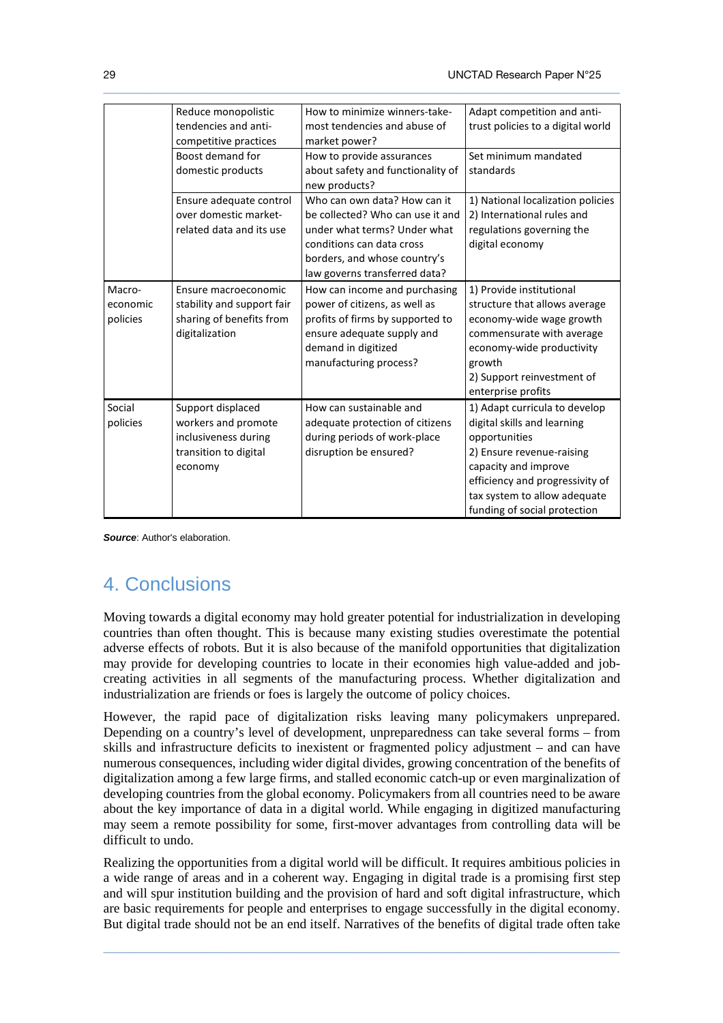|          | Reduce monopolistic        | How to minimize winners-take-                      | Adapt competition and anti-       |
|----------|----------------------------|----------------------------------------------------|-----------------------------------|
|          | tendencies and anti-       | most tendencies and abuse of                       | trust policies to a digital world |
|          | competitive practices      | market power?                                      |                                   |
|          | Boost demand for           | How to provide assurances                          | Set minimum mandated              |
|          | domestic products          | about safety and functionality of<br>new products? | standards                         |
|          | Ensure adequate control    | Who can own data? How can it                       | 1) National localization policies |
|          | over domestic market-      | be collected? Who can use it and                   | 2) International rules and        |
|          | related data and its use   | under what terms? Under what                       | regulations governing the         |
|          |                            | conditions can data cross                          | digital economy                   |
|          |                            | borders, and whose country's                       |                                   |
|          |                            | law governs transferred data?                      |                                   |
| Macro-   | Ensure macroeconomic       | How can income and purchasing                      | 1) Provide institutional          |
| economic | stability and support fair | power of citizens, as well as                      | structure that allows average     |
| policies | sharing of benefits from   | profits of firms by supported to                   | economy-wide wage growth          |
|          | digitalization             | ensure adequate supply and                         | commensurate with average         |
|          |                            | demand in digitized                                | economy-wide productivity         |
|          |                            | manufacturing process?                             | growth                            |
|          |                            |                                                    | 2) Support reinvestment of        |
|          |                            |                                                    | enterprise profits                |
| Social   | Support displaced          | How can sustainable and                            | 1) Adapt curricula to develop     |
| policies | workers and promote        | adequate protection of citizens                    | digital skills and learning       |
|          | inclusiveness during       | during periods of work-place                       | opportunities                     |
|          | transition to digital      | disruption be ensured?                             | 2) Ensure revenue-raising         |
|          | economy                    |                                                    | capacity and improve              |
|          |                            |                                                    | efficiency and progressivity of   |
|          |                            |                                                    | tax system to allow adequate      |
|          |                            |                                                    | funding of social protection      |

 $\_$  ,  $\_$  ,  $\_$  ,  $\_$  ,  $\_$  ,  $\_$  ,  $\_$  ,  $\_$  ,  $\_$  ,  $\_$  ,  $\_$  ,  $\_$  ,  $\_$  ,  $\_$  ,  $\_$  ,  $\_$  ,  $\_$  ,  $\_$  ,  $\_$  ,  $\_$  ,  $\_$  ,  $\_$  ,  $\_$  ,  $\_$  ,  $\_$  ,  $\_$  ,  $\_$  ,  $\_$  ,  $\_$  ,  $\_$  ,  $\_$  ,  $\_$  ,  $\_$  ,  $\_$  ,  $\_$  ,  $\_$  ,  $\_$  ,

**Source**: Author's elaboration.

# 4. Conclusions

Moving towards a digital economy may hold greater potential for industrialization in developing countries than often thought. This is because many existing studies overestimate the potential adverse effects of robots. But it is also because of the manifold opportunities that digitalization may provide for developing countries to locate in their economies high value-added and jobcreating activities in all segments of the manufacturing process. Whether digitalization and industrialization are friends or foes is largely the outcome of policy choices.

However, the rapid pace of digitalization risks leaving many policymakers unprepared. Depending on a country's level of development, unpreparedness can take several forms – from skills and infrastructure deficits to inexistent or fragmented policy adjustment – and can have numerous consequences, including wider digital divides, growing concentration of the benefits of digitalization among a few large firms, and stalled economic catch-up or even marginalization of developing countries from the global economy. Policymakers from all countries need to be aware about the key importance of data in a digital world. While engaging in digitized manufacturing may seem a remote possibility for some, first-mover advantages from controlling data will be difficult to undo.

Realizing the opportunities from a digital world will be difficult. It requires ambitious policies in a wide range of areas and in a coherent way. Engaging in digital trade is a promising first step and will spur institution building and the provision of hard and soft digital infrastructure, which are basic requirements for people and enterprises to engage successfully in the digital economy. But digital trade should not be an end itself. Narratives of the benefits of digital trade often take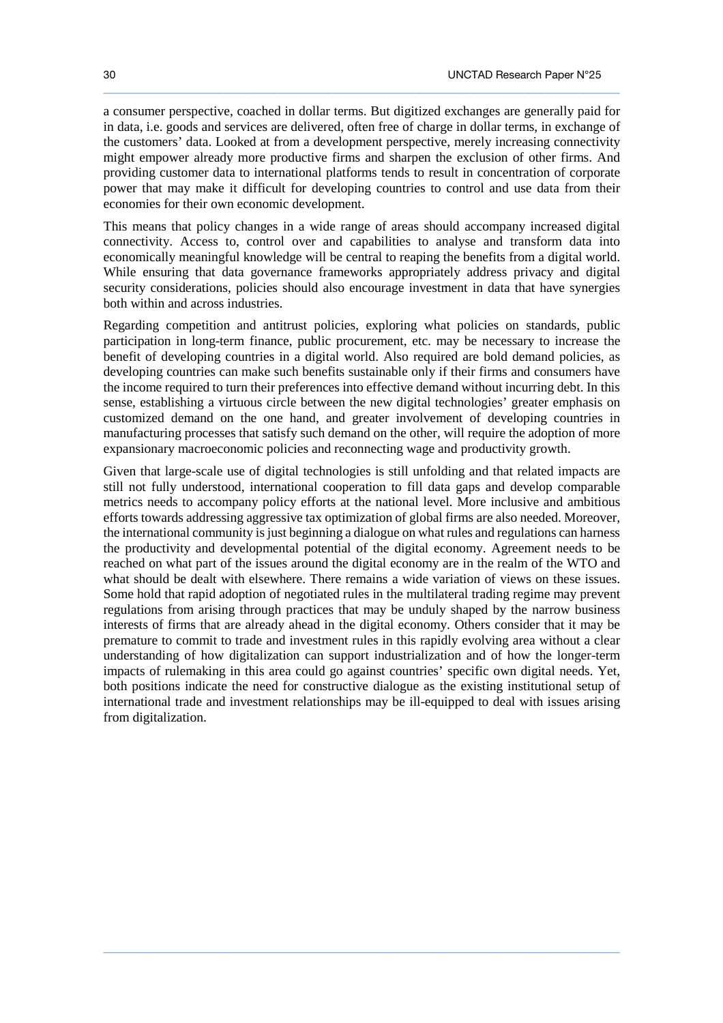a consumer perspective, coached in dollar terms. But digitized exchanges are generally paid for in data, i.e. goods and services are delivered, often free of charge in dollar terms, in exchange of the customers' data. Looked at from a development perspective, merely increasing connectivity might empower already more productive firms and sharpen the exclusion of other firms. And providing customer data to international platforms tends to result in concentration of corporate power that may make it difficult for developing countries to control and use data from their economies for their own economic development.

 $\_$  ,  $\_$  ,  $\_$  ,  $\_$  ,  $\_$  ,  $\_$  ,  $\_$  ,  $\_$  ,  $\_$  ,  $\_$  ,  $\_$  ,  $\_$  ,  $\_$  ,  $\_$  ,  $\_$  ,  $\_$  ,  $\_$  ,  $\_$  ,  $\_$  ,  $\_$  ,  $\_$  ,  $\_$  ,  $\_$  ,  $\_$  ,  $\_$  ,  $\_$  ,  $\_$  ,  $\_$  ,  $\_$  ,  $\_$  ,  $\_$  ,  $\_$  ,  $\_$  ,  $\_$  ,  $\_$  ,  $\_$  ,  $\_$  ,

This means that policy changes in a wide range of areas should accompany increased digital connectivity. Access to, control over and capabilities to analyse and transform data into economically meaningful knowledge will be central to reaping the benefits from a digital world. While ensuring that data governance frameworks appropriately address privacy and digital security considerations, policies should also encourage investment in data that have synergies both within and across industries.

Regarding competition and antitrust policies, exploring what policies on standards, public participation in long-term finance, public procurement, etc. may be necessary to increase the benefit of developing countries in a digital world. Also required are bold demand policies, as developing countries can make such benefits sustainable only if their firms and consumers have the income required to turn their preferences into effective demand without incurring debt. In this sense, establishing a virtuous circle between the new digital technologies' greater emphasis on customized demand on the one hand, and greater involvement of developing countries in manufacturing processes that satisfy such demand on the other, will require the adoption of more expansionary macroeconomic policies and reconnecting wage and productivity growth.

Given that large-scale use of digital technologies is still unfolding and that related impacts are still not fully understood, international cooperation to fill data gaps and develop comparable metrics needs to accompany policy efforts at the national level. More inclusive and ambitious efforts towards addressing aggressive tax optimization of global firms are also needed. Moreover, the international community is just beginning a dialogue on what rules and regulations can harness the productivity and developmental potential of the digital economy. Agreement needs to be reached on what part of the issues around the digital economy are in the realm of the WTO and what should be dealt with elsewhere. There remains a wide variation of views on these issues. Some hold that rapid adoption of negotiated rules in the multilateral trading regime may prevent regulations from arising through practices that may be unduly shaped by the narrow business interests of firms that are already ahead in the digital economy. Others consider that it may be premature to commit to trade and investment rules in this rapidly evolving area without a clear understanding of how digitalization can support industrialization and of how the longer-term impacts of rulemaking in this area could go against countries' specific own digital needs. Yet, both positions indicate the need for constructive dialogue as the existing institutional setup of international trade and investment relationships may be ill-equipped to deal with issues arising from digitalization.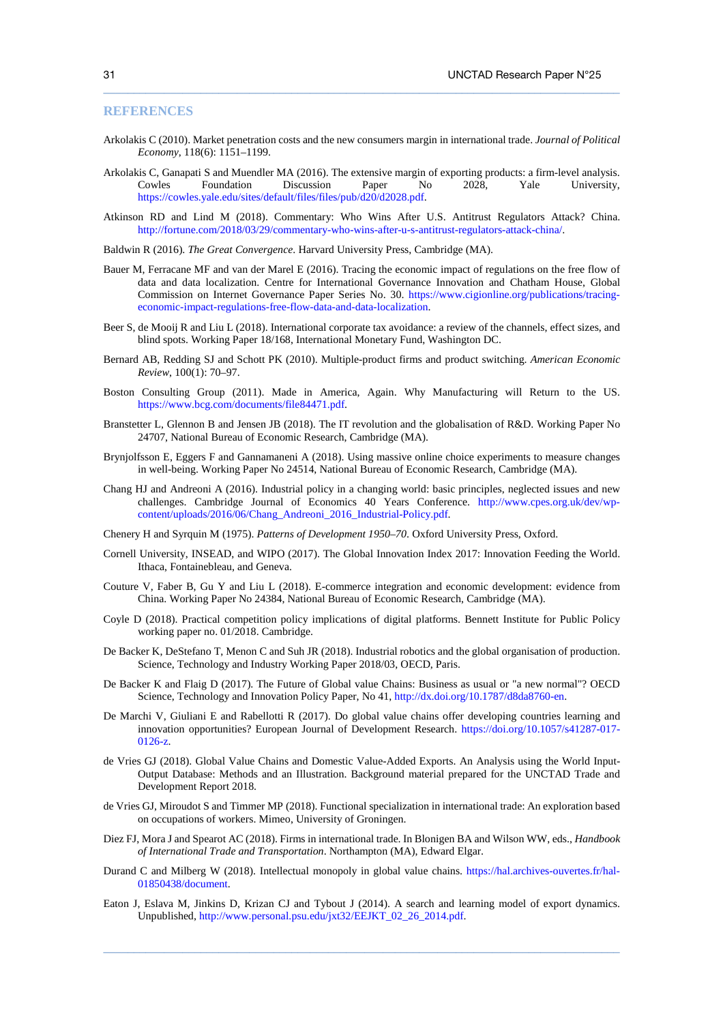#### **REFERENCES**

Arkolakis C (2010). Market penetration costs and the new consumers margin in international trade. *Journal of Political Economy*, 118(6): 1151–1199.

 $\_$  ,  $\_$  ,  $\_$  ,  $\_$  ,  $\_$  ,  $\_$  ,  $\_$  ,  $\_$  ,  $\_$  ,  $\_$  ,  $\_$  ,  $\_$  ,  $\_$  ,  $\_$  ,  $\_$  ,  $\_$  ,  $\_$  ,  $\_$  ,  $\_$  ,  $\_$  ,  $\_$  ,  $\_$  ,  $\_$  ,  $\_$  ,  $\_$  ,  $\_$  ,  $\_$  ,  $\_$  ,  $\_$  ,  $\_$  ,  $\_$  ,  $\_$  ,  $\_$  ,  $\_$  ,  $\_$  ,  $\_$  ,  $\_$  ,

- Arkolakis C, Ganapati S and Muendler MA (2016). The extensive margin of exporting products: a firm-level analysis. Cowles Foundation Discussion Paper No 2028, Yale University, https://cowles.yale.edu/sites/default/files/files/pub/d20/d2028.pdf.
- Atkinson RD and Lind M (2018). Commentary: Who Wins After U.S. Antitrust Regulators Attack? China. http://fortune.com/2018/03/29/commentary-who-wins-after-u-s-antitrust-regulators-attack-china/.

Baldwin R (2016). *The Great Convergence*. Harvard University Press, Cambridge (MA).

- Bauer M, Ferracane MF and van der Marel E (2016). Tracing the economic impact of regulations on the free flow of data and data localization. Centre for International Governance Innovation and Chatham House, Global Commission on Internet Governance Paper Series No. 30. https://www.cigionline.org/publications/tracingeconomic-impact-regulations-free-flow-data-and-data-localization.
- Beer S, de Mooij R and Liu L (2018). International corporate tax avoidance: a review of the channels, effect sizes, and blind spots. Working Paper 18/168, International Monetary Fund, Washington DC.
- Bernard AB, Redding SJ and Schott PK (2010). Multiple-product firms and product switching. *American Economic Review*, 100(1): 70–97.
- Boston Consulting Group (2011). Made in America, Again. Why Manufacturing will Return to the US. https://www.bcg.com/documents/file84471.pdf.
- Branstetter L, Glennon B and Jensen JB (2018). The IT revolution and the globalisation of R&D. Working Paper No 24707, National Bureau of Economic Research, Cambridge (MA).
- Brynjolfsson E, Eggers F and Gannamaneni A (2018). Using massive online choice experiments to measure changes in well-being. Working Paper No 24514, National Bureau of Economic Research, Cambridge (MA).
- Chang HJ and Andreoni A (2016). Industrial policy in a changing world: basic principles, neglected issues and new challenges. Cambridge Journal of Economics 40 Years Conference. http://www.cpes.org.uk/dev/wpcontent/uploads/2016/06/Chang\_Andreoni\_2016\_Industrial-Policy.pdf.

Chenery H and Syrquin M (1975). *Patterns of Development 1950–70*. Oxford University Press, Oxford.

- Cornell University, INSEAD, and WIPO (2017). The Global Innovation Index 2017: Innovation Feeding the World. Ithaca, Fontainebleau, and Geneva.
- Couture V, Faber B, Gu Y and Liu L (2018). E-commerce integration and economic development: evidence from China. Working Paper No 24384, National Bureau of Economic Research, Cambridge (MA).
- Coyle D (2018). Practical competition policy implications of digital platforms. Bennett Institute for Public Policy working paper no. 01/2018. Cambridge.
- De Backer K, DeStefano T, Menon C and Suh JR (2018). Industrial robotics and the global organisation of production. Science, Technology and Industry Working Paper 2018/03, OECD, Paris.
- De Backer K and Flaig D (2017). The Future of Global value Chains: Business as usual or "a new normal"? OECD Science, Technology and Innovation Policy Paper, No 41, http://dx.doi.org/10.1787/d8da8760-en.
- De Marchi V, Giuliani E and Rabellotti R (2017). Do global value chains offer developing countries learning and innovation opportunities? European Journal of Development Research. https://doi.org/10.1057/s41287-017- 0126-z.
- de Vries GJ (2018). Global Value Chains and Domestic Value-Added Exports. An Analysis using the World Input-Output Database: Methods and an Illustration. Background material prepared for the UNCTAD Trade and Development Report 2018.
- de Vries GJ, Miroudot S and Timmer MP (2018). Functional specialization in international trade: An exploration based on occupations of workers. Mimeo, University of Groningen.
- Diez FJ, Mora J and Spearot AC (2018). Firms in international trade. In Blonigen BA and Wilson WW, eds., *Handbook of International Trade and Transportation*. Northampton (MA), Edward Elgar.
- Durand C and Milberg W (2018). Intellectual monopoly in global value chains. https://hal.archives-ouvertes.fr/hal-01850438/document.
- Eaton J, Eslava M, Jinkins D, Krizan CJ and Tybout J (2014). A search and learning model of export dynamics. Unpublished, http://www.personal.psu.edu/jxt32/EEJKT\_02\_26\_2014.pdf.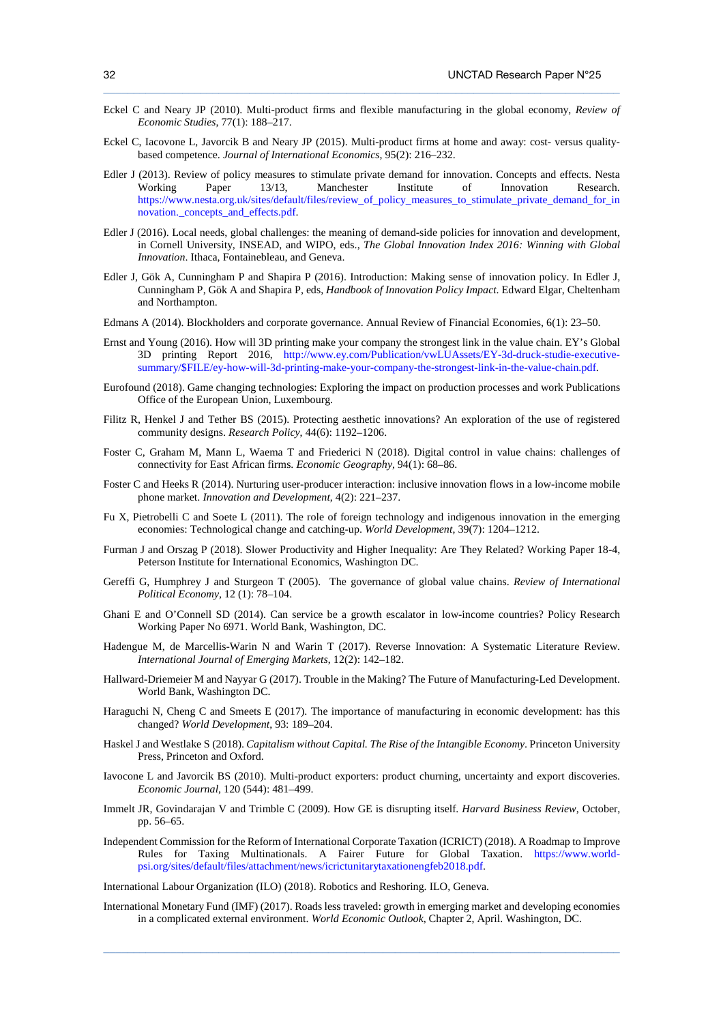Eckel C and Neary JP (2010). Multi-product firms and flexible manufacturing in the global economy, *Review of Economic Studies*, 77(1): 188–217.

 $\_$  ,  $\_$  ,  $\_$  ,  $\_$  ,  $\_$  ,  $\_$  ,  $\_$  ,  $\_$  ,  $\_$  ,  $\_$  ,  $\_$  ,  $\_$  ,  $\_$  ,  $\_$  ,  $\_$  ,  $\_$  ,  $\_$  ,  $\_$  ,  $\_$  ,  $\_$  ,  $\_$  ,  $\_$  ,  $\_$  ,  $\_$  ,  $\_$  ,  $\_$  ,  $\_$  ,  $\_$  ,  $\_$  ,  $\_$  ,  $\_$  ,  $\_$  ,  $\_$  ,  $\_$  ,  $\_$  ,  $\_$  ,  $\_$  ,

- Eckel C, Iacovone L, Javorcik B and Neary JP (2015). Multi-product firms at home and away: cost- versus qualitybased competence. *Journal of International Economics*, 95(2): 216–232.
- Edler J (2013). Review of policy measures to stimulate private demand for innovation. Concepts and effects. Nesta Working Paper 13/13, Manchester Institute of Innovation Research. https://www.nesta.org.uk/sites/default/files/review\_of\_policy\_measures\_to\_stimulate\_private\_demand\_for\_in novation.\_concepts\_and\_effects.pdf.
- Edler J (2016). Local needs, global challenges: the meaning of demand-side policies for innovation and development, in Cornell University, INSEAD, and WIPO, eds., *The Global Innovation Index 2016: Winning with Global Innovation*. Ithaca, Fontainebleau, and Geneva.
- Edler J, Gök A, Cunningham P and Shapira P (2016). Introduction: Making sense of innovation policy. In Edler J, Cunningham P, Gök A and Shapira P, eds, *Handbook of Innovation Policy Impact*. Edward Elgar, Cheltenham and Northampton.
- Edmans A (2014). Blockholders and corporate governance. Annual Review of Financial Economies, 6(1): 23–50.
- Ernst and Young (2016). How will 3D printing make your company the strongest link in the value chain. EY's Global 3D printing Report 2016, http://www.ey.com/Publication/vwLUAssets/EY-3d-druck-studie-executivesummary/\$FILE/ey-how-will-3d-printing-make-your-company-the-strongest-link-in-the-value-chain.pdf.
- Eurofound (2018). Game changing technologies: Exploring the impact on production processes and work Publications Office of the European Union, Luxembourg.
- Filitz R, Henkel J and Tether BS (2015). Protecting aesthetic innovations? An exploration of the use of registered community designs. *Research Policy*, 44(6): 1192–1206.
- Foster C, Graham M, Mann L, Waema T and Friederici N (2018). Digital control in value chains: challenges of connectivity for East African firms. *Economic Geography*, 94(1): 68–86.
- Foster C and Heeks R (2014). Nurturing user-producer interaction: inclusive innovation flows in a low-income mobile phone market. *Innovation and Development*, 4(2): 221–237.
- Fu X, Pietrobelli C and Soete L (2011). The role of foreign technology and indigenous innovation in the emerging economies: Technological change and catching-up. *World Development*, 39(7): 1204–1212.
- Furman J and Orszag P (2018). Slower Productivity and Higher Inequality: Are They Related? Working Paper 18-4, Peterson Institute for International Economics, Washington DC.
- Gereffi G, Humphrey J and Sturgeon T (2005). The governance of global value chains. *Review of International Political Economy*, 12 (1): 78–104.
- Ghani E and O'Connell SD (2014). Can service be a growth escalator in low-income countries? Policy Research Working Paper No 6971. World Bank, Washington, DC.
- Hadengue M, de Marcellis-Warin N and Warin T (2017). Reverse Innovation: A Systematic Literature Review. *International Journal of Emerging Markets*, 12(2): 142–182.
- Hallward-Driemeier M and Nayyar G (2017). Trouble in the Making? The Future of Manufacturing-Led Development. World Bank, Washington DC.
- Haraguchi N, Cheng C and Smeets E (2017). The importance of manufacturing in economic development: has this changed? *World Development*, 93: 189–204.
- Haskel J and Westlake S (2018). *Capitalism without Capital. The Rise of the Intangible Economy*. Princeton University Press, Princeton and Oxford.
- Iavocone L and Javorcik BS (2010). Multi-product exporters: product churning, uncertainty and export discoveries. *Economic Journal*, 120 (544): 481–499.
- Immelt JR, Govindarajan V and Trimble C (2009). How GE is disrupting itself. *Harvard Business Review*, October, pp. 56–65.
- Independent Commission for the Reform of International Corporate Taxation (ICRICT) (2018). A Roadmap to Improve Rules for Taxing Multinationals. A Fairer Future for Global Taxation. https://www.worldpsi.org/sites/default/files/attachment/news/icrictunitarytaxationengfeb2018.pdf.

International Labour Organization (ILO) (2018). Robotics and Reshoring. ILO, Geneva.

International Monetary Fund (IMF) (2017). Roads less traveled: growth in emerging market and developing economies in a complicated external environment. *World Economic Outlook*, Chapter 2, April. Washington, DC.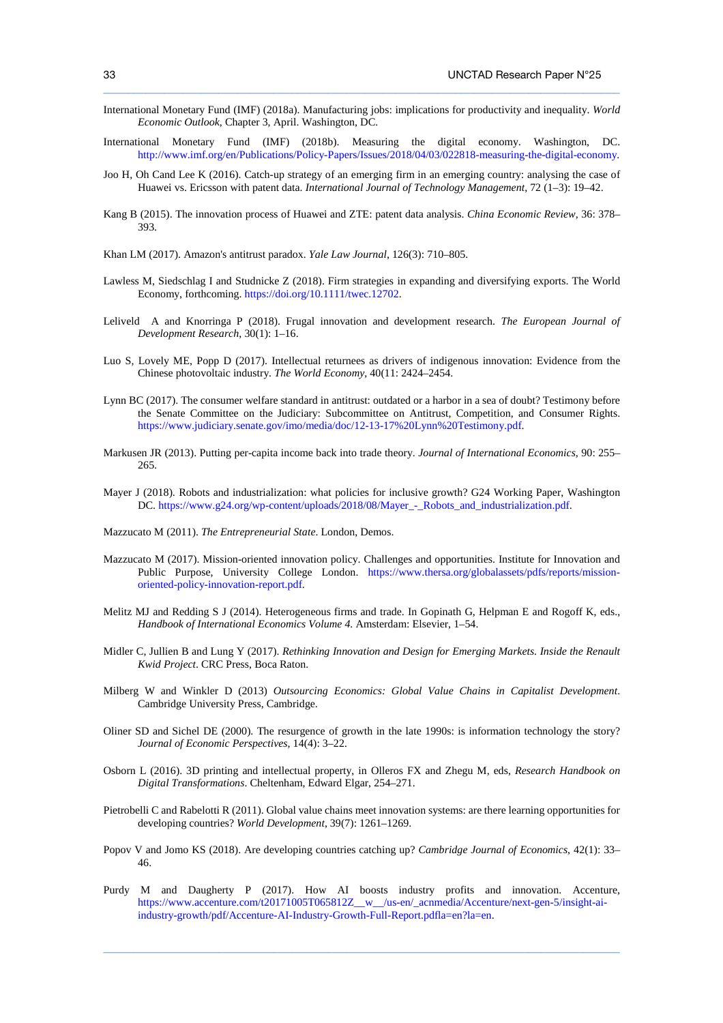International Monetary Fund (IMF) (2018a). Manufacturing jobs: implications for productivity and inequality. *World Economic Outlook*, Chapter 3, April. Washington, DC.

 $\_$  ,  $\_$  ,  $\_$  ,  $\_$  ,  $\_$  ,  $\_$  ,  $\_$  ,  $\_$  ,  $\_$  ,  $\_$  ,  $\_$  ,  $\_$  ,  $\_$  ,  $\_$  ,  $\_$  ,  $\_$  ,  $\_$  ,  $\_$  ,  $\_$  ,  $\_$  ,  $\_$  ,  $\_$  ,  $\_$  ,  $\_$  ,  $\_$  ,  $\_$  ,  $\_$  ,  $\_$  ,  $\_$  ,  $\_$  ,  $\_$  ,  $\_$  ,  $\_$  ,  $\_$  ,  $\_$  ,  $\_$  ,  $\_$  ,

- International Monetary Fund (IMF) (2018b). Measuring the digital economy. Washington, DC. http://www.imf.org/en/Publications/Policy-Papers/Issues/2018/04/03/022818-measuring-the-digital-economy.
- Joo H, Oh Cand Lee K (2016). Catch-up strategy of an emerging firm in an emerging country: analysing the case of Huawei vs. Ericsson with patent data. *International Journal of Technology Management*, 72 (1–3): 19–42.
- Kang B (2015). The innovation process of Huawei and ZTE: patent data analysis. *China Economic Review*, 36: 378– 393.
- Khan LM (2017). Amazon's antitrust paradox. *Yale Law Journal*, 126(3): 710–805.
- Lawless M, Siedschlag I and Studnicke Z (2018). Firm strategies in expanding and diversifying exports. The World Economy, forthcoming. https://doi.org/10.1111/twec.12702.
- Leliveld A and Knorringa P (2018). Frugal innovation and development research. *The European Journal of Development Research*, 30(1): 1–16.
- Luo S, Lovely ME, Popp D (2017). Intellectual returnees as drivers of indigenous innovation: Evidence from the Chinese photovoltaic industry. *The World Economy*, 40(11: 2424–2454.
- Lynn BC (2017). The consumer welfare standard in antitrust: outdated or a harbor in a sea of doubt? Testimony before the Senate Committee on the Judiciary: Subcommittee on Antitrust, Competition, and Consumer Rights. https://www.judiciary.senate.gov/imo/media/doc/12-13-17%20Lynn%20Testimony.pdf.
- Markusen JR (2013). Putting per-capita income back into trade theory. *Journal of International Economics*, 90: 255– 265.
- Mayer J (2018). Robots and industrialization: what policies for inclusive growth? G24 Working Paper, Washington DC. https://www.g24.org/wp-content/uploads/2018/08/Mayer\_-\_Robots\_and\_industrialization.pdf.
- Mazzucato M (2011). *The Entrepreneurial State*. London, Demos.
- Mazzucato M (2017). Mission-oriented innovation policy. Challenges and opportunities. Institute for Innovation and Public Purpose, University College London. https://www.thersa.org/globalassets/pdfs/reports/missionoriented-policy-innovation-report.pdf.
- Melitz MJ and Redding S J (2014). Heterogeneous firms and trade. In Gopinath G, Helpman E and Rogoff K, eds., *Handbook of International Economics Volume 4*. Amsterdam: Elsevier, 1–54.
- Midler C, Jullien B and Lung Y (2017). *Rethinking Innovation and Design for Emerging Markets. Inside the Renault Kwid Project*. CRC Press, Boca Raton.
- Milberg W and Winkler D (2013) *Outsourcing Economics: Global Value Chains in Capitalist Development*. Cambridge University Press, Cambridge.
- Oliner SD and Sichel DE (2000). The resurgence of growth in the late 1990s: is information technology the story? *Journal of Economic Perspectives*, 14(4): 3–22.
- Osborn L (2016). 3D printing and intellectual property, in Olleros FX and Zhegu M, eds, *Research Handbook on Digital Transformations*. Cheltenham, Edward Elgar, 254–271.
- Pietrobelli C and Rabelotti R (2011). Global value chains meet innovation systems: are there learning opportunities for developing countries? *World Development*, 39(7): 1261–1269.
- Popov V and Jomo KS (2018). Are developing countries catching up? *Cambridge Journal of Economics*, 42(1): 33– 46.
- Purdy M and Daugherty P (2017). How AI boosts industry profits and innovation. Accenture, https://www.accenture.com/t20171005T065812Z\_\_w\_\_/us-en/\_acnmedia/Accenture/next-gen-5/insight-aiindustry-growth/pdf/Accenture-AI-Industry-Growth-Full-Report.pdfla=en?la=en.